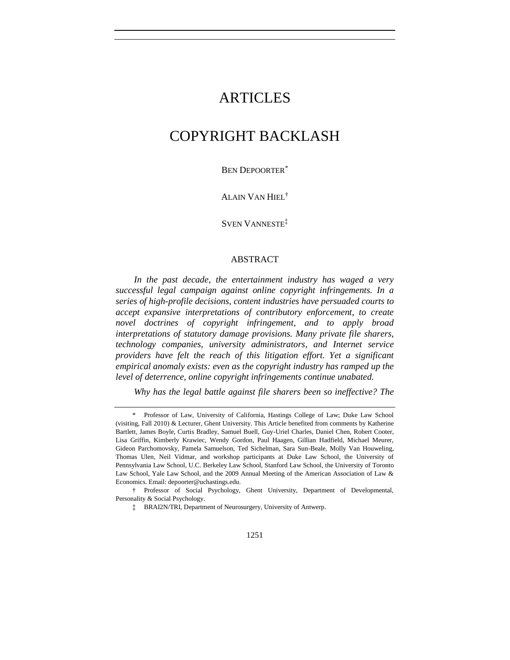# ARTICLES

# COPYRIGHT BACKLASH

BEN DEPOORTER\*

ALAIN VAN HIEL†

SVEN VANNESTE‡

#### ABSTRACT

*In the past decade, the entertainment industry has waged a very successful legal campaign against online copyright infringements. In a series of high-profile decisions, content industries have persuaded courts to accept expansive interpretations of contributory enforcement, to create novel doctrines of copyright infringement, and to apply broad interpretations of statutory damage provisions. Many private file sharers, technology companies, university administrators, and Internet service providers have felt the reach of this litigation effort. Yet a significant empirical anomaly exists: even as the copyright industry has ramped up the level of deterrence, online copyright infringements continue unabated.*

*Why has the legal battle against file sharers been so ineffective? The* 

<sup>\*</sup> Professor of Law, University of California, Hastings College of Law; Duke Law School (visiting, Fall 2010) & Lecturer, Ghent University. This Article benefited from comments by Katherine Bartlett, James Boyle, Curtis Bradley, Samuel Buell, Guy-Uriel Charles, Daniel Chen, Robert Cooter, Lisa Griffin, Kimberly Krawiec, Wendy Gordon, Paul Haagen, Gillian Hadfield, Michael Meurer, Gideon Parchomovsky, Pamela Samuelson, Ted Sichelman, Sara Sun-Beale, Molly Van Houweling, Thomas Ulen, Neil Vidmar, and workshop participants at Duke Law School, the University of Pennsylvania Law School, U.C. Berkeley Law School, Stanford Law School, the University of Toronto Law School, Yale Law School, and the 2009 Annual Meeting of the American Association of Law & Economics. Email: depoorter@uchastings.edu.

<sup>†</sup> Professor of Social Psychology, Ghent University, Department of Developmental, Personality & Social Psychology.

<sup>‡</sup> BRAI2N/TRI, Department of Neurosurgery, University of Antwerp.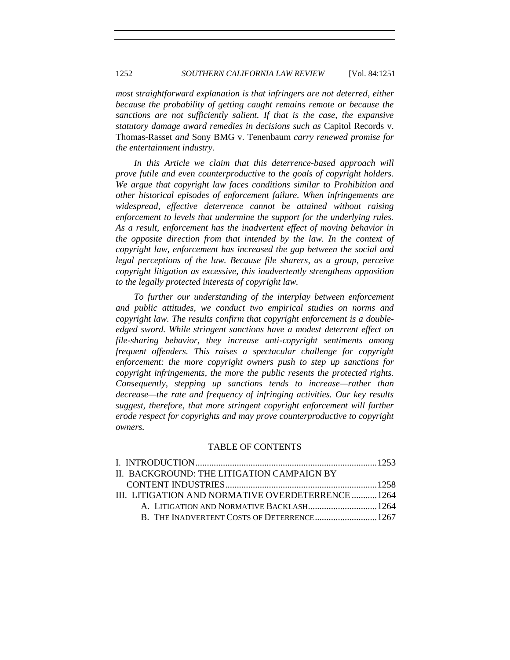*most straightforward explanation is that infringers are not deterred, either because the probability of getting caught remains remote or because the sanctions are not sufficiently salient. If that is the case, the expansive statutory damage award remedies in decisions such as* Capitol Records v. Thomas-Rasset *and* Sony BMG v. Tenenbaum *carry renewed promise for the entertainment industry.* 

In this Article we claim that this deterrence-based approach will *prove futile and even counterproductive to the goals of copyright holders. We argue that copyright law faces conditions similar to Prohibition and other historical episodes of enforcement failure. When infringements are widespread, effective deterrence cannot be attained without raising enforcement to levels that undermine the support for the underlying rules. As a result, enforcement has the inadvertent effect of moving behavior in the opposite direction from that intended by the law. In the context of copyright law, enforcement has increased the gap between the social and legal perceptions of the law. Because file sharers, as a group, perceive copyright litigation as excessive, this inadvertently strengthens opposition to the legally protected interests of copyright law.* 

*To further our understanding of the interplay between enforcement and public attitudes, we conduct two empirical studies on norms and copyright law. The results confirm that copyright enforcement is a doubleedged sword. While stringent sanctions have a modest deterrent effect on file-sharing behavior, they increase anti-copyright sentiments among frequent offenders. This raises a spectacular challenge for copyright enforcement: the more copyright owners push to step up sanctions for copyright infringements, the more the public resents the protected rights. Consequently, stepping up sanctions tends to increase—rather than decrease—the rate and frequency of infringing activities. Our key results suggest, therefore, that more stringent copyright enforcement will further erode respect for copyrights and may prove counterproductive to copyright owners.* 

#### TABLE OF CONTENTS

| II. BACKGROUND: THE LITIGATION CAMPAIGN BY       |  |
|--------------------------------------------------|--|
|                                                  |  |
| III. LITIGATION AND NORMATIVE OVERDETERRENCE1264 |  |
| A. LITIGATION AND NORMATIVE BACKLASH 1264        |  |
|                                                  |  |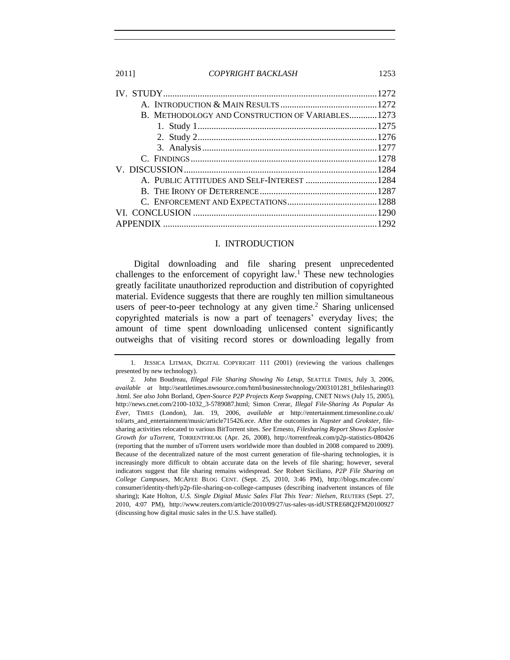| B. METHODOLOGY AND CONSTRUCTION OF VARIABLES1273 |  |
|--------------------------------------------------|--|
|                                                  |  |
|                                                  |  |
|                                                  |  |
|                                                  |  |
|                                                  |  |
|                                                  |  |
|                                                  |  |
|                                                  |  |
|                                                  |  |
|                                                  |  |

#### <span id="page-2-2"></span><span id="page-2-1"></span><span id="page-2-0"></span>I. INTRODUCTION

Digital downloading and file sharing present unprecedented challenges to the enforcement of copyright law.<sup>1</sup> These new technologies greatly facilitate unauthorized reproduction and distribution of copyrighted material. Evidence suggests that there are roughly ten million simultaneous users of peer-to-peer technology at any given time.<sup>2</sup> Sharing unlicensed copyrighted materials is now a part of teenagers' everyday lives; the amount of time spent downloading unlicensed content significantly outweighs that of visiting record stores or downloading legally from

<sup>1.</sup> JESSICA LITMAN, DIGITAL COPYRIGHT 111 (2001) (reviewing the various challenges presented by new technology).

<sup>2.</sup> John Boudreau, *Illegal File Sharing Showing No Letup*, SEATTLE TIMES, July 3, 2006, *available at* http://seattletimes.nwsource.com/html/businesstechnology/2003101281\_btfilesharing03 .html. *See also* John Borland, *Open-Source P2P Projects Keep Swapping*, CNET NEWS (July 15, 2005), http://news.cnet.com/2100-1032\_3-5789087.html; Simon Crerar, *Illegal File-Sharing As Popular As Ever*, TIMES (London), Jan. 19, 2006, *available at* http://entertainment.timesonline.co.uk/ tol/arts\_and\_entertainment/music/article715426.ece. After the outcomes in *Napster* and *Grokster*, filesharing activities relocated to various BitTorrent sites. *See* Ernesto, *Filesharing Report Shows Explosive Growth for uTorrent*, TORRENTFREAK (Apr. 26, 2008), http://torrentfreak.com/p2p-statistics-080426 (reporting that the number of uTorrent users worldwide more than doubled in 2008 compared to 2009). Because of the decentralized nature of the most current generation of file-sharing technologies, it is increasingly more difficult to obtain accurate data on the levels of file sharing; however, several indicators suggest that file sharing remains widespread. *See* Robert Siciliano, *P2P File Sharing on College Campuses*, MCAFEE BLOG CENT. (Sept. 25, 2010, 3:46 PM), http://blogs.mcafee.com/ consumer/identity-theft/p2p-file-sharing-on-college-campuses (describing inadvertent instances of file sharing); Kate Holton, *U.S. Single Digital Music Sales Flat This Year: Nielsen*, REUTERS (Sept. 27, 2010, 4:07 PM), http://www.reuters.com/article/2010/09/27/us-sales-us-idUSTRE68Q2FM20100927 (discussing how digital music sales in the U.S. have stalled).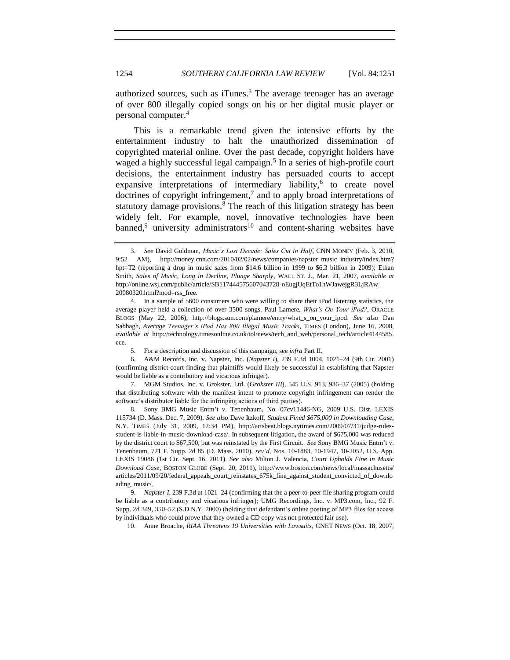<span id="page-3-1"></span>authorized sources, such as iTunes.<sup>3</sup> The average teenager has an average of over 800 illegally copied songs on his or her digital music player or personal computer.<sup>4</sup>

This is a remarkable trend given the intensive efforts by the entertainment industry to halt the unauthorized dissemination of copyrighted material online. Over the past decade, copyright holders have waged a highly successful legal campaign.<sup>5</sup> In a series of high-profile court decisions, the entertainment industry has persuaded courts to accept expansive interpretations of intermediary liability,<sup>6</sup> to create novel doctrines of copyright infringement,<sup>7</sup> and to apply broad interpretations of statutory damage provisions.<sup>8</sup> The reach of this litigation strategy has been widely felt. For example, novel, innovative technologies have been banned,<sup>9</sup> university administrators<sup>10</sup> and content-sharing websites have

7. MGM Studios, Inc. v. Grokster, Ltd. (*Grokster III*), 545 U.S. 913, 936–37 (2005) (holding that distributing software with the manifest intent to promote copyright infringement can render the software's distributor liable for the infringing actions of third parties).

8. Sony BMG Music Entm't v. Tenenbaum, No. 07cv11446-NG, 2009 U.S. Dist. LEXIS 115734 (D. Mass. Dec. 7, 2009). *See also* Dave Itzkoff, *Student Fined \$675,000 in Downloading Case*, N.Y. TIMES (July 31, 2009, 12:34 PM), http://artsbeat.blogs.nytimes.com/2009/07/31/judge-rulesstudent-is-liable-in-music-download-case/. In subsequent litigation, the award of \$675,000 was reduced by the district court to \$67,500, but was reinstated by the First Circuit. *See* Sony BMG Music Entm't v. Tenenbaum, 721 F. Supp. 2d 85 (D. Mass. 2010), *rev"d*, Nos. 10-1883, 10-1947, 10-2052, U.S. App. LEXIS 19086 (1st Cir. Sept. 16, 2011). *See also* Milton J. Valencia, *Court Upholds Fine in Music Download Case*, BOSTON GLOBE (Sept. 20, 2011), http://www.boston.com/news/local/massachusetts/ articles/2011/09/20/federal\_appeals\_court\_reinstates\_675k\_fine\_against\_student\_convicted\_of\_downlo ading\_music/.

9. *Napster I*, 239 F.3d at 1021–24 (confirming that the a peer-to-peer file sharing program could be liable as a contributory and vicarious infringer); UMG Recordings, Inc. v. MP3.com, Inc., 92 F. Supp. 2d 349, 350–52 (S.D.N.Y. 2000) (holding that defendant's online posting of MP3 files for access by individuals who could prove that they owned a CD copy was not protected fair use).

10. Anne Broache, *RIAA Threatens 19 Universities with Lawsuits*, CNET NEWS (Oct. 18, 2007,

<span id="page-3-0"></span><sup>3.</sup> *See* David Goldman, *Music"s Lost Decade: Sales Cut in Half*, CNN MONEY (Feb. 3, 2010, 9:52 AM), http://money.cnn.com/2010/02/02/news/companies/napster\_music\_industry/index.htm? hpt=T2 (reporting a drop in music sales from \$14.6 billion in 1999 to \$6.3 billion in 2009); Ethan Smith, *Sales of Music, Long in Decline, Plunge Sharply*, WALL ST. J., Mar. 21, 2007, *available at* http://online.wsj.com/public/article/SB117444575607043728-oEugjUqEtTo1hWJawejgR3LjRAw\_ 20080320.html?mod=rss\_free.

<sup>4.</sup> In a sample of 5600 consumers who were willing to share their iPod listening statistics, the average player held a collection of over 3500 songs. Paul Lamere, *What"s On Your iPod?*, ORACLE BLOGS (May 22, 2006), http://blogs.sun.com/plamere/entry/what\_s\_on\_your\_ipod. *See also* Dan Sabbagh, *Average Teenager"s iPod Has 800 Illegal Music Tracks*, TIMES (London), June 16, 2008, *available at* http://technology.timesonline.co.uk/tol/news/tech\_and\_web/personal\_tech/article4144585. ece.

<sup>5.</sup> For a description and discussion of this campaign, see *infra* Part II.

<sup>6.</sup> A&M Records, Inc. v. Napster, Inc. (*Napster I*), 239 F.3d 1004, 1021–24 (9th Cir. 2001) (confirming district court finding that plaintiffs would likely be successful in establishing that Napster would be liable as a contributory and vicarious infringer).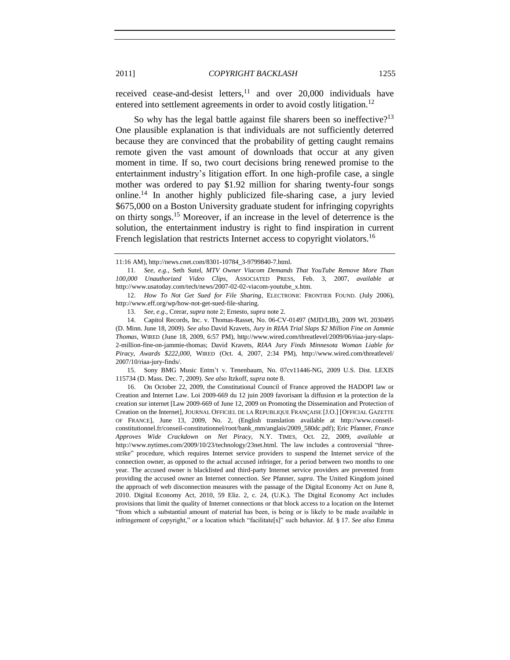received cease-and-desist letters, $11$  and over 20,000 individuals have entered into settlement agreements in order to avoid costly litigation.<sup>12</sup>

So why has the legal battle against file sharers been so ineffective?<sup>13</sup> One plausible explanation is that individuals are not sufficiently deterred because they are convinced that the probability of getting caught remains remote given the vast amount of downloads that occur at any given moment in time. If so, two court decisions bring renewed promise to the entertainment industry's litigation effort. In one high-profile case, a single mother was ordered to pay \$1.92 million for sharing twenty-four songs online.<sup>14</sup> In another highly publicized file-sharing case, a jury levied \$675,000 on a Boston University graduate student for infringing copyrights on thirty songs.<sup>15</sup> Moreover, if an increase in the level of deterrence is the solution, the entertainment industry is right to find inspiration in current French legislation that restricts Internet access to copyright violators.<sup>16</sup>

12. *How To Not Get Sued for File Sharing*, ELECTRONIC FRONTIER FOUND. (July 2006), http://www.eff.org/wp/how-not-get-sued-file-sharing.

15. Sony BMG Music Entm't v. Tenenbaum, No. 07cv11446-NG, 2009 U.S. Dist. LEXIS 115734 (D. Mass. Dec. 7, 2009). *See also* Itzkoff, *supra* not[e 8.](#page-3-0)

16. On October 22, 2009, the Constitutional Council of France approved the HADOPI law or Creation and Internet Law. Loi 2009-669 du 12 juin 2009 favorisant la diffusion et la protection de la creation sur internet [Law 2009-669 of June 12, 2009 on Promoting the Dissemination and Protection of Creation on the Internet], JOURNAL OFFICIEL DE LA REPUBLIQUE FRANÇAISE [J.O.] [OFFICIAL GAZETTE OF FRANCE], June 13, 2009, No. 2, (English translation available at http://www.conseilconstitutionnel.fr/conseil-constitutionnel/root/bank\_mm/anglais/2009\_580dc.pdf); Eric Pfanner, *France Approves Wide Crackdown on Net Piracy*, N.Y. TIMES, Oct. 22, 2009, *available at* http://www.nytimes.com/2009/10/23/technology/23net.html. The law includes a controversial "threestrike‖ procedure, which requires Internet service providers to suspend the Internet service of the connection owner, as opposed to the actual accused infringer, for a period between two months to one year. The accused owner is blacklisted and third-party Internet service providers are prevented from providing the accused owner an Internet connection. *See* Pfanner, *supra*. The United Kingdom joined the approach of web disconnection measures with the passage of the Digital Economy Act on June 8, 2010. Digital Economy Act, 2010, 59 Eliz. 2, c. 24, (U.K.). The Digital Economy Act includes provisions that limit the quality of Internet connections or that block access to a location on the Internet ―from which a substantial amount of material has been, is being or is likely to be made available in infringement of copyright," or a location which "facilitate[s]" such behavior. *Id.* § 17. *See also* Emma

<span id="page-4-0"></span><sup>11:16</sup> AM), http://news.cnet.com/8301-10784\_3-9799840-7.html.

<sup>11</sup>*. See, e.g.*, Seth Sutel, *MTV Owner Viacom Demands That YouTube Remove More Than 100,000 Unauthorized Video Clips*, ASSOCIATED PRESS, Feb. 3, 2007, *available at*  http://www.usatoday.com/tech/news/2007-02-02-viacom-youtube\_x.htm.

<sup>13.</sup> *See, e.g*., Crerar, *supra* not[e 2;](#page-2-1) Ernesto, *supra* not[e 2](#page-2-1)*.*

<sup>14.</sup> Capitol Records, Inc. v. Thomas-Rasset, No. 06-CV-01497 (MJD/LIB), 2009 WL 2030495 (D. Minn. June 18, 2009). *See also* David Kravets, *Jury in RIAA Trial Slaps \$2 Million Fine on Jammie Thomas*, WIRED (June 18, 2009, 6:57 PM), http://www.wired.com/threatlevel/2009/06/riaa-jury-slaps-2-million-fine-on-jammie-thomas; David Kravets, *RIAA Jury Finds Minnesota Woman Liable for Piracy, Awards \$222,000*, WIRED (Oct. 4, 2007, 2:34 PM), http://www.wired.com/threatlevel/ 2007/10/riaa-jury-finds/.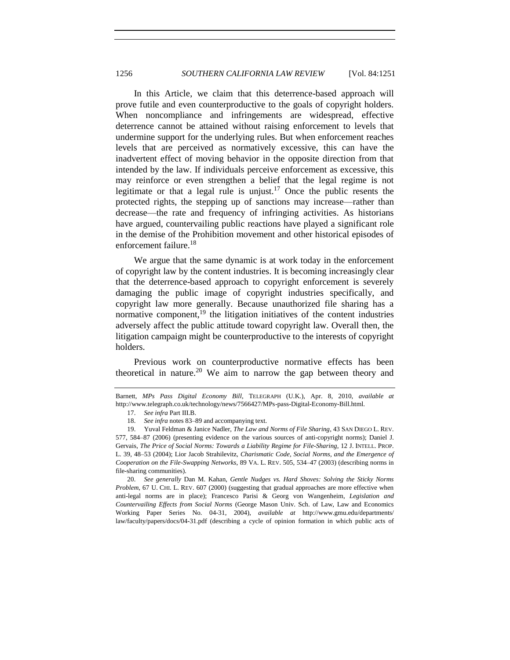In this Article, we claim that this deterrence-based approach will prove futile and even counterproductive to the goals of copyright holders. When noncompliance and infringements are widespread, effective deterrence cannot be attained without raising enforcement to levels that undermine support for the underlying rules. But when enforcement reaches levels that are perceived as normatively excessive, this can have the inadvertent effect of moving behavior in the opposite direction from that intended by the law. If individuals perceive enforcement as excessive, this may reinforce or even strengthen a belief that the legal regime is not legitimate or that a legal rule is unjust.<sup>17</sup> Once the public resents the protected rights, the stepping up of sanctions may increase—rather than decrease—the rate and frequency of infringing activities. As historians have argued, countervailing public reactions have played a significant role in the demise of the Prohibition movement and other historical episodes of enforcement failure.<sup>18</sup>

We argue that the same dynamic is at work today in the enforcement of copyright law by the content industries. It is becoming increasingly clear that the deterrence-based approach to copyright enforcement is severely damaging the public image of copyright industries specifically, and copyright law more generally. Because unauthorized file sharing has a normative component, $19$  the litigation initiatives of the content industries adversely affect the public attitude toward copyright law. Overall then, the litigation campaign might be counterproductive to the interests of copyright holders.

<span id="page-5-1"></span><span id="page-5-0"></span>Previous work on counterproductive normative effects has been theoretical in nature.<sup>20</sup> We aim to narrow the gap between theory and

20. *See generally* Dan M. Kahan, *Gentle Nudges vs. Hard Shoves: Solving the Sticky Norms Problem*, 67 U. CHI. L. REV. 607 (2000) (suggesting that gradual approaches are more effective when anti-legal norms are in place); Francesco Parisi & Georg von Wangenheim, *Legislation and Countervailing Effects from Social Norms* (George Mason Univ. Sch. of Law, Law and Economics Working Paper Series No. 04-31, 2004), *available at* http://www.gmu.edu/departments/ law/faculty/papers/docs/04-31.pdf (describing a cycle of opinion formation in which public acts of

Barnett, *MPs Pass Digital Economy Bill*, TELEGRAPH (U.K.), Apr. 8, 2010, *available at*  http://www.telegraph.co.uk/technology/news/7566427/MPs-pass-Digital-Economy-Bill.html.

<sup>17.</sup> *See infra* Part III.B.

<sup>18.</sup> *See infra* note[s 83](#page-18-0)[–89](#page-19-0) and accompanying text.

<sup>19.</sup> Yuval Feldman & Janice Nadler, *The Law and Norms of File Sharing*, 43 SAN DIEGO L. REV. 577, 584–87 (2006) (presenting evidence on the various sources of anti-copyright norms); Daniel J. Gervais, *The Price of Social Norms: Towards a Liability Regime for File-Sharing*, 12 J. INTELL. PROP. L. 39, 48–53 (2004); Lior Jacob Strahilevitz, *Charismatic Code, Social Norms, and the Emergence of Cooperation on the File-Swapping Networks*, 89 VA. L. REV. 505, 534–47 (2003) (describing norms in file-sharing communities).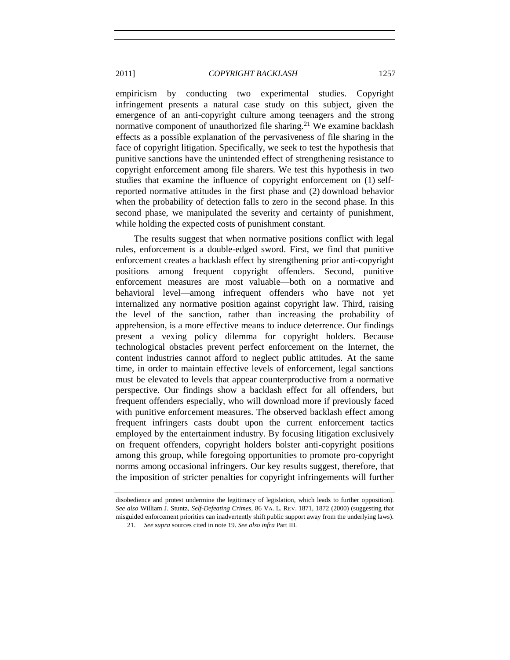empiricism by conducting two experimental studies. Copyright infringement presents a natural case study on this subject, given the emergence of an anti-copyright culture among teenagers and the strong normative component of unauthorized file sharing.<sup>21</sup> We examine backlash effects as a possible explanation of the pervasiveness of file sharing in the face of copyright litigation. Specifically, we seek to test the hypothesis that punitive sanctions have the unintended effect of strengthening resistance to copyright enforcement among file sharers. We test this hypothesis in two studies that examine the influence of copyright enforcement on (1) selfreported normative attitudes in the first phase and (2) download behavior when the probability of detection falls to zero in the second phase. In this second phase, we manipulated the severity and certainty of punishment, while holding the expected costs of punishment constant.

The results suggest that when normative positions conflict with legal rules, enforcement is a double-edged sword. First, we find that punitive enforcement creates a backlash effect by strengthening prior anti-copyright positions among frequent copyright offenders. Second, punitive enforcement measures are most valuable—both on a normative and behavioral level—among infrequent offenders who have not yet internalized any normative position against copyright law. Third, raising the level of the sanction, rather than increasing the probability of apprehension, is a more effective means to induce deterrence. Our findings present a vexing policy dilemma for copyright holders. Because technological obstacles prevent perfect enforcement on the Internet, the content industries cannot afford to neglect public attitudes. At the same time, in order to maintain effective levels of enforcement, legal sanctions must be elevated to levels that appear counterproductive from a normative perspective. Our findings show a backlash effect for all offenders, but frequent offenders especially, who will download more if previously faced with punitive enforcement measures. The observed backlash effect among frequent infringers casts doubt upon the current enforcement tactics employed by the entertainment industry. By focusing litigation exclusively on frequent offenders, copyright holders bolster anti-copyright positions among this group, while foregoing opportunities to promote pro-copyright norms among occasional infringers. Our key results suggest, therefore, that the imposition of stricter penalties for copyright infringements will further

disobedience and protest undermine the legitimacy of legislation, which leads to further opposition). *See also* William J. Stuntz, *Self-Defeating Crimes*, 86 VA. L. REV. 1871, 1872 (2000) (suggesting that misguided enforcement priorities can inadvertently shift public support away from the underlying laws).

<sup>21.</sup> *See* s*upra* sources cited in note [19.](#page-5-0) *See also infra* Part III.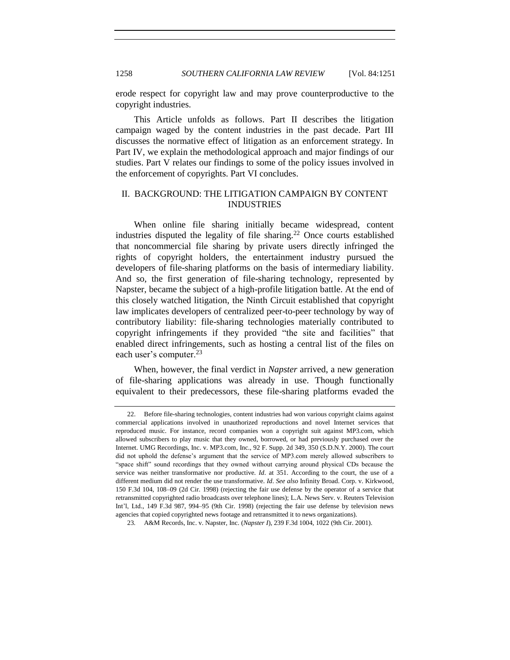erode respect for copyright law and may prove counterproductive to the copyright industries.

This Article unfolds as follows. Part II describes the litigation campaign waged by the content industries in the past decade. Part III discusses the normative effect of litigation as an enforcement strategy. In Part IV, we explain the methodological approach and major findings of our studies. Part V relates our findings to some of the policy issues involved in the enforcement of copyrights. Part VI concludes.

# <span id="page-7-0"></span>II. BACKGROUND: THE LITIGATION CAMPAIGN BY CONTENT INDUSTRIES

When online file sharing initially became widespread, content industries disputed the legality of file sharing.<sup>22</sup> Once courts established that noncommercial file sharing by private users directly infringed the rights of copyright holders, the entertainment industry pursued the developers of file-sharing platforms on the basis of intermediary liability. And so, the first generation of file-sharing technology, represented by Napster, became the subject of a high-profile litigation battle. At the end of this closely watched litigation, the Ninth Circuit established that copyright law implicates developers of centralized peer-to-peer technology by way of contributory liability: file-sharing technologies materially contributed to copyright infringements if they provided "the site and facilities" that enabled direct infringements, such as hosting a central list of the files on each user's computer.<sup>23</sup>

<span id="page-7-1"></span>When, however, the final verdict in *Napster* arrived, a new generation of file-sharing applications was already in use. Though functionally equivalent to their predecessors, these file-sharing platforms evaded the

<sup>22.</sup> Before file-sharing technologies, content industries had won various copyright claims against commercial applications involved in unauthorized reproductions and novel Internet services that reproduced music. For instance, record companies won a copyright suit against MP3.com, which allowed subscribers to play music that they owned, borrowed, or had previously purchased over the Internet. UMG Recordings, Inc. v. MP3.com, Inc., 92 F. Supp. 2d 349, 350 (S.D.N.Y. 2000). The court did not uphold the defense's argument that the service of MP3.com merely allowed subscribers to "space shift" sound recordings that they owned without carrying around physical CDs because the service was neither transformative nor productive. *Id*. at 351. According to the court, the use of a different medium did not render the use transformative. *Id*. *See also* Infinity Broad. Corp. v. Kirkwood, 150 F.3d 104, 108–09 (2d Cir. 1998) (rejecting the fair use defense by the operator of a service that retransmitted copyrighted radio broadcasts over telephone lines); L.A. News Serv. v. Reuters Television Int'l, Ltd., 149 F.3d 987, 994–95 (9th Cir. 1998) (rejecting the fair use defense by television news agencies that copied copyrighted news footage and retransmitted it to news organizations).

<sup>23</sup>*.* A&M Records, Inc. v. Napster, Inc. (*Napster I*), 239 F.3d 1004, 1022 (9th Cir. 2001).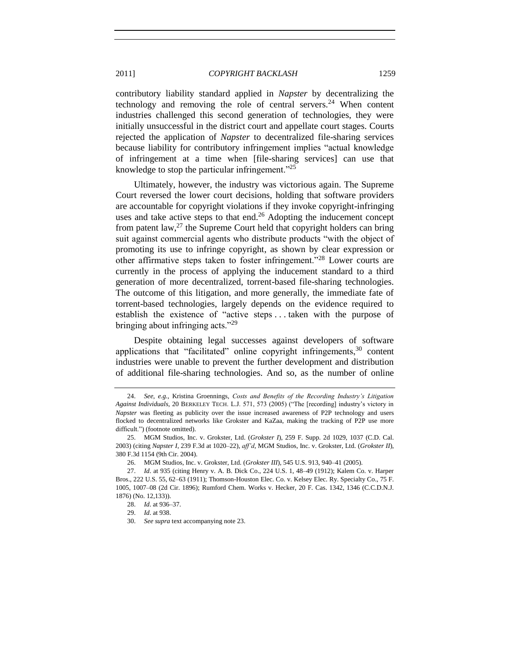contributory liability standard applied in *Napster* by decentralizing the technology and removing the role of central servers.<sup>24</sup> When content industries challenged this second generation of technologies, they were initially unsuccessful in the district court and appellate court stages. Courts rejected the application of *Napster* to decentralized file-sharing services because liability for contributory infringement implies "actual knowledge" of infringement at a time when [file-sharing services] can use that knowledge to stop the particular infringement. $^{225}$ 

Ultimately, however, the industry was victorious again. The Supreme Court reversed the lower court decisions, holding that software providers are accountable for copyright violations if they invoke copyright-infringing uses and take active steps to that end.<sup>26</sup> Adopting the inducement concept from patent law, $^{27}$  the Supreme Court held that copyright holders can bring suit against commercial agents who distribute products "with the object of promoting its use to infringe copyright, as shown by clear expression or other affirmative steps taken to foster infringement."<sup>28</sup> Lower courts are currently in the process of applying the inducement standard to a third generation of more decentralized, torrent-based file-sharing technologies. The outcome of this litigation, and more generally, the immediate fate of torrent-based technologies, largely depends on the evidence required to establish the existence of "active steps ... taken with the purpose of bringing about infringing acts." $29$ 

Despite obtaining legal successes against developers of software applications that "facilitated" online copyright infringements,<sup>30</sup> content industries were unable to prevent the further development and distribution of additional file-sharing technologies. And so, as the number of online

<sup>24.</sup> *See*, *e.g.*, Kristina Groennings, *Costs and Benefits of the Recording Industry"s Litigation*  Against Individuals, 20 BERKELEY TECH. L.J. 571, 573 (2005) ("The [recording] industry's victory in *Napster* was fleeting as publicity over the issue increased awareness of P2P technology and users flocked to decentralized networks like Grokster and KaZaa, making the tracking of P2P use more difficult.") (footnote omitted).

<sup>25.</sup> MGM Studios, Inc. v. Grokster, Ltd. (*Grokster I*), 259 F. Supp. 2d 1029, 1037 (C.D. Cal. 2003) (citing *Napster I*, 239 F.3d at 1020–22), *aff"d*, MGM Studios, Inc. v. Grokster, Ltd. (*Grokster II*), 380 F.3d 1154 (9th Cir. 2004).

<sup>26.</sup> MGM Studios, Inc. v. Grokster, Ltd. (*Grokster III*), 545 U.S. 913, 940–41 (2005).

<sup>27.</sup> *Id*. at 935 (citing Henry v. A. B. Dick Co., 224 U.S. 1, 48–49 (1912); Kalem Co. v. Harper Bros., 222 U.S. 55, 62–63 (1911); Thomson-Houston Elec. Co. v. Kelsey Elec. Ry. Specialty Co., 75 F. 1005, 1007–08 (2d Cir. 1896); Rumford Chem. Works v. Hecker, 20 F. Cas. 1342, 1346 (C.C.D.N.J. 1876) (No. 12,133)).

<sup>28.</sup> *Id*. at 936–37.

<sup>29.</sup> *Id*. at 938.

<sup>30.</sup> *See supra* text accompanying not[e 23.](#page-7-1)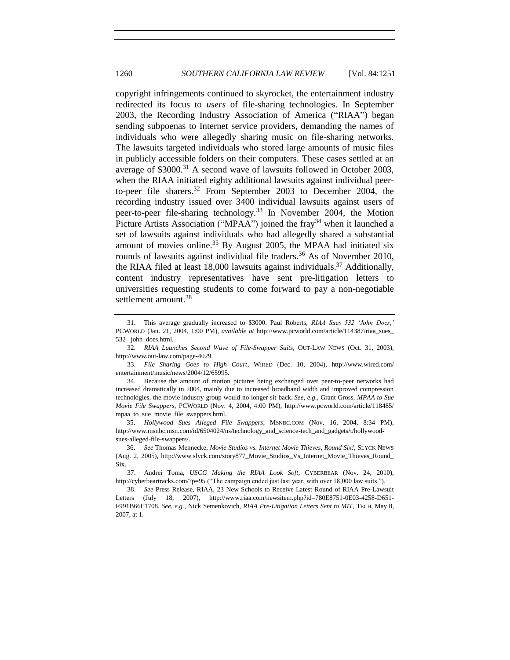copyright infringements continued to skyrocket, the entertainment industry redirected its focus to *users* of file-sharing technologies. In September 2003, the Recording Industry Association of America ("RIAA") began sending subpoenas to Internet service providers, demanding the names of individuals who were allegedly sharing music on file-sharing networks. The lawsuits targeted individuals who stored large amounts of music files in publicly accessible folders on their computers. These cases settled at an average of \$3000.<sup>31</sup> A second wave of lawsuits followed in October 2003, when the RIAA initiated eighty additional lawsuits against individual peerto-peer file sharers.<sup>32</sup> From September 2003 to December 2004, the recording industry issued over 3400 individual lawsuits against users of peer-to-peer file-sharing technology*.* <sup>33</sup> In November 2004, the Motion Picture Artists Association ("MPAA") joined the fray<sup>34</sup> when it launched a set of lawsuits against individuals who had allegedly shared a substantial amount of movies online.<sup>35</sup> By August 2005, the MPAA had initiated six rounds of lawsuits against individual file traders.<sup>36</sup> As of November 2010, the RIAA filed at least 18,000 lawsuits against individuals. <sup>37</sup> Additionally, content industry representatives have sent pre-litigation letters to universities requesting students to come forward to pay a non-negotiable settlement amount.<sup>38</sup>

35. *Hollywood Sues Alleged File Swappers*, MSNBC.COM (Nov. 16, 2004, 8:34 PM), http://www.msnbc.msn.com/id/6504024/ns/technology\_and\_science-tech\_and\_gadgets/t/hollywoodsues-alleged-file-swappers/.

<sup>31.</sup> This average gradually increased to \$3000. Paul Roberts, *RIAA Sues 532 "John Does*,*"* PCWORLD (Jan. 21, 2004, 1:00 PM), *available at* http://www.pcworld.com/article/114387/riaa\_sues\_ 532\_ john\_does.html.

<sup>32.</sup> *RIAA Launches Second Wave of File-Swapper Suits*, OUT-LAW NEWS (Oct. 31, 2003), http://www.out-law.com/page-4029.

<sup>33.</sup> *File Sharing Goes to High Court*, WIRED (Dec. 10, 2004), http://www.wired.com/ entertainment/music/news/2004/12/65995.

<sup>34.</sup> Because the amount of motion pictures being exchanged over peer-to-peer networks had increased dramatically in 2004, mainly due to increased broadband width and improved compression technologies, the movie industry group would no longer sit back. *See, e.g.*, Grant Gross, *MPAA to Sue Movie File Swappers*, PCWORLD (Nov. 4, 2004, 4:00 PM), http://www.pcworld.com/article/118485/ mpaa to sue movie file swappers.html.

<sup>36</sup>. *See* Thomas Mennecke, *Movie Studios vs. Internet Movie Thieves, Round Six!*, SLYCK NEWS (Aug. 2, 2005), http://www.slyck.com/story877\_Movie\_Studios\_Vs\_Internet\_Movie\_Thieves\_Round\_ Six.

<sup>37.</sup> Andrei Toma, *USCG Making the RIAA Look Soft*, CYBERBEAR (Nov. 24, 2010), http://cyberbeartracks.com/?p=95 ("The campaign ended just last year, with over 18,000 law suits.").

<sup>38.</sup> *See* Press Release, RIAA, 23 New Schools to Receive Latest Round of RIAA Pre-Lawsuit Letters (July 18, 2007), http://www.riaa.com/newsitem.php?id=780E8751-0E03-4258-D651- F991B66E1708. *See, e.g.*, Nick Semenkovich, *RIAA Pre-Litigation Letters Sent to MIT*, TECH, May 8, 2007, at 1.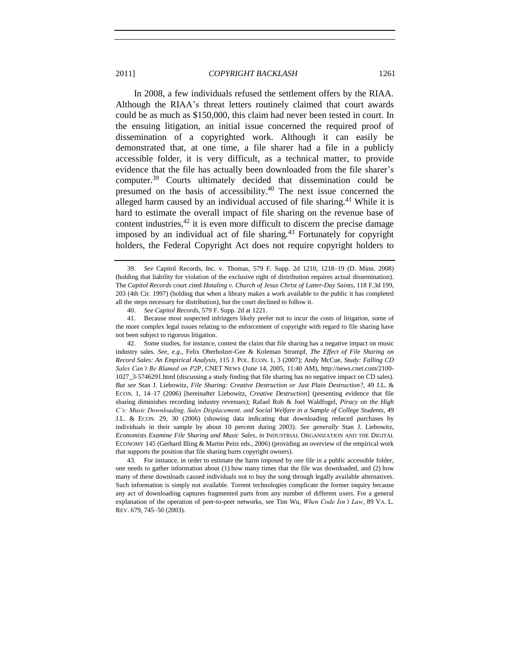In 2008, a few individuals refused the settlement offers by the RIAA. Although the RIAA's threat letters routinely claimed that court awards could be as much as \$150,000, this claim had never been tested in court. In the ensuing litigation, an initial issue concerned the required proof of dissemination of a copyrighted work. Although it can easily be demonstrated that, at one time, a file sharer had a file in a publicly accessible folder, it is very difficult, as a technical matter, to provide evidence that the file has actually been downloaded from the file sharer's computer.<sup>39</sup> Courts ultimately decided that dissemination could be presumed on the basis of accessibility.<sup>40</sup> The next issue concerned the alleged harm caused by an individual accused of file sharing.<sup>41</sup> While it is hard to estimate the overall impact of file sharing on the revenue base of content industries,  $42$  it is even more difficult to discern the precise damage imposed by an individual act of file sharing.<sup>43</sup> Fortunately for copyright holders, the Federal Copyright Act does not require copyright holders to

<span id="page-10-1"></span><span id="page-10-0"></span><sup>39.</sup> *See* Capitol Records, Inc. v. Thomas, 579 F. Supp. 2d 1210, 1218–19 (D. Minn. 2008) (holding that liability for violation of the exclusive right of distribution requires actual dissemination). The *Capitol Records* court cited *Hotaling v. Church of Jesus Christ of Latter-Day Saints*, 118 F.3d 199, 203 (4th Cir. 1997) (holding that when a library makes a work available to the public it has completed all the steps necessary for distribution), but the court declined to follow it.

<sup>40.</sup> *See Capitol Records*, 579 F. Supp. 2d at 1221.

<sup>41.</sup> Because most suspected infringers likely prefer not to incur the costs of litigation, some of the more complex legal issues relating to the enforcement of copyright with regard to file sharing have not been subject to rigorous litigation.

<sup>42.</sup> Some studies, for instance, contest the claim that file sharing has a negative impact on music industry sales. *See, e.g*., Felix Oberholzer-Gee & Koleman Strumpf, *The Effect of File Sharing on Record Sales: An Empirical Analysis*, 115 J. POL. ECON. 1, 3 (2007); Andy McCue, *Study: Falling CD Sales Can"t Be Blamed on P2P*, CNET NEWS (June 14, 2005, 11:40 AM), http://news.cnet.com/2100- 1027\_3-5746291.html (discussing a study finding that file sharing has no negative impact on CD sales). *But see* Stan J. Liebowitz, *File Sharing: Creative Destruction or Just Plain Destruction?*, 49 J.L. & ECON. 1, 14–17 (2006) [hereinafter Liebowitz, *Creative Destruction*] (presenting evidence that file sharing diminishes recording industry revenues); Rafael Rob & Joel Waldfogel, *Piracy on the High C"s: Music Downloading, Sales Displacement, and Social Welfare in a Sample of College Students*, 49 J.L. & ECON. 29, 30 (2006) (showing data indicating that downloading reduced purchases by individuals in their sample by about 10 percent during 2003). *See generally* Stan J. Liebowitz, *Economists Examine File Sharing and Music Sales*, *in* INDUSTRIAL ORGANIZATION AND THE DIGITAL ECONOMY 145 (Gerhard Illing & Martin Peitz eds., 2006) (providing an overview of the empirical work that supports the position that file sharing hurts copyright owners).

<sup>43.</sup> For instance, in order to estimate the harm imposed by one file in a public accessible folder, one needs to gather information about (1) how many times that the file was downloaded, and (2) how many of these downloads caused individuals not to buy the song through legally available alternatives. Such information is simply not available. Torrent technologies complicate the former inquiry because any act of downloading captures fragmented parts from any number of different users. For a general explanation of the operation of peer-to-peer networks, see Tim Wu, *When Code Isn"t Law*, 89 VA. L. REV. 679, 745–50 (2003).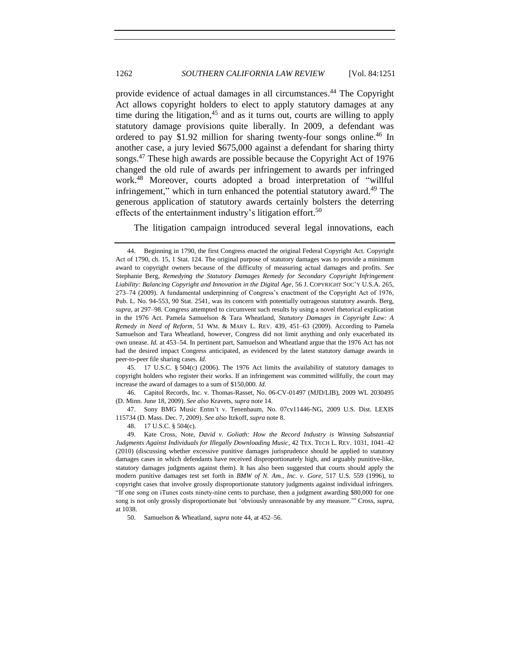<span id="page-11-0"></span>provide evidence of actual damages in all circumstances. <sup>44</sup> The Copyright Act allows copyright holders to elect to apply statutory damages at any time during the litigation,<sup>45</sup> and as it turns out, courts are willing to apply statutory damage provisions quite liberally. In 2009, a defendant was ordered to pay \$1.92 million for sharing twenty-four songs online.<sup>46</sup> In another case, a jury levied \$675,000 against a defendant for sharing thirty songs.<sup>47</sup> These high awards are possible because the Copyright Act of 1976 changed the old rule of awards per infringement to awards per infringed work.<sup>48</sup> Moreover, courts adopted a broad interpretation of "willful infringement," which in turn enhanced the potential statutory award.<sup>49</sup> The generous application of statutory awards certainly bolsters the deterring effects of the entertainment industry's litigation effort.<sup>50</sup>

The litigation campaign introduced several legal innovations, each

45. 17 U.S.C. § 504(c) (2006). The 1976 Act limits the availability of statutory damages to copyright holders who register their works. If an infringement was committed willfully, the court may increase the award of damages to a sum of \$150,000. *Id.*

46. Capitol Records, Inc. v. Thomas-Rasset, No. 06-CV-01497 (MJD/LIB), 2009 WL 2030495 (D. Minn. June 18, 2009). *See also* Kravets, *supra* not[e 14.](#page-4-0)

47. Sony BMG Music Entm't v. Tenenbaum, No. 07cv11446-NG, 2009 U.S. Dist. LEXIS 115734 (D. Mass. Dec. 7, 2009). *See also* Itzkoff, *supra* not[e 8.](#page-3-0)

48. 17 U.S.C. § 504(c).

50. Samuelson & Wheatland, *supra* not[e 44,](#page-11-0) at 452–56.

<sup>44.</sup> Beginning in 1790, the first Congress enacted the original Federal Copyright Act. Copyright Act of 1790, ch. 15, 1 Stat. 124. The original purpose of statutory damages was to provide a minimum award to copyright owners because of the difficulty of measuring actual damages and profits. *See*  Stephanie Berg, *Remedying the Statutory Damages Remedy for Secondary Copyright Infringement Liability: Balancing Copyright and Innovation in the Digital Age*, 56 J. COPYRIGHT SOC'Y U.S.A. 265, 273–74 (2009). A fundamental underpinning of Congress's enactment of the Copyright Act of 1976, Pub. L. No. 94-553, 90 Stat. 2541, was its concern with potentially outrageous statutory awards. Berg, *supra*, at 297–98. Congress attempted to circumvent such results by using a novel rhetorical explication in the 1976 Act. Pamela Samuelson & Tara Wheatland, *Statutory Damages in Copyright Law: A Remedy in Need of Reform*, 51 WM. & MARY L. REV. 439, 451–63 (2009). According to Pamela Samuelson and Tara Wheatland, however, Congress did not limit anything and only exacerbated its own unease. *Id.* at 453–54. In pertinent part, Samuelson and Wheatland argue that the 1976 Act has not had the desired impact Congress anticipated, as evidenced by the latest statutory damage awards in peer-to-peer file sharing cases. *Id*.

<sup>49.</sup> Kate Cross, Note, *David v. Goliath: How the Record Industry is Winning Substantial Judgments Against Individuals for Illegally Downloading Music*, 42 TEX. TECH L. REV. 1031, 1041–42 (2010) (discussing whether excessive punitive damages jurisprudence should be applied to statutory damages cases in which defendants have received disproportionately high, and arguably punitive-like, statutory damages judgments against them). It has also been suggested that courts should apply the modern punitive damages test set forth in *BMW of N. Am., Inc. v. Gore*, 517 U.S. 559 (1996), to copyright cases that involve grossly disproportionate statutory judgments against individual infringers. ―If one song on iTunes costs ninety-nine cents to purchase, then a judgment awarding \$80,000 for one song is not only grossly disproportionate but 'obviously unreasonable by any measure.'" Cross, *supra*, at 1038.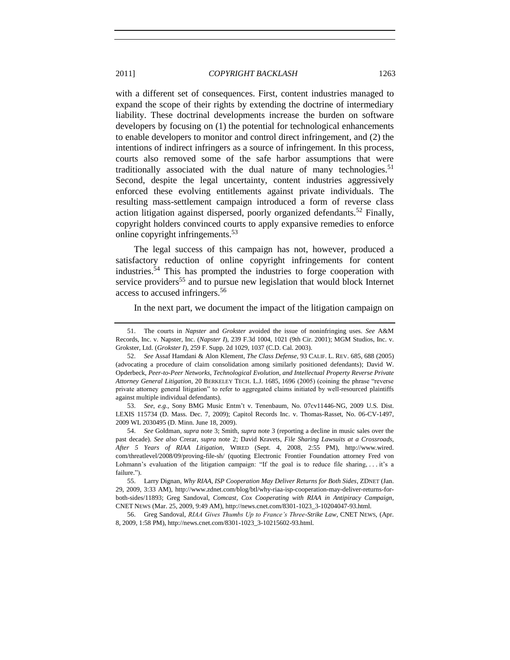with a different set of consequences. First, content industries managed to expand the scope of their rights by extending the doctrine of intermediary liability. These doctrinal developments increase the burden on software developers by focusing on (1) the potential for technological enhancements to enable developers to monitor and control direct infringement, and (2) the intentions of indirect infringers as a source of infringement. In this process, courts also removed some of the safe harbor assumptions that were traditionally associated with the dual nature of many technologies.<sup>51</sup> Second, despite the legal uncertainty, content industries aggressively enforced these evolving entitlements against private individuals. The resulting mass-settlement campaign introduced a form of reverse class action litigation against dispersed, poorly organized defendants.<sup>52</sup> Finally, copyright holders convinced courts to apply expansive remedies to enforce online copyright infringements.<sup>53</sup>

The legal success of this campaign has not, however, produced a satisfactory reduction of online copyright infringements for content industries. <sup>54</sup> This has prompted the industries to forge cooperation with service providers<sup>55</sup> and to pursue new legislation that would block Internet access to accused infringers.<sup>56</sup>

In the next part, we document the impact of the litigation campaign on

53. *See*, *e.g.*, Sony BMG Music Entm't v. Tenenbaum, No. 07cv11446-NG, 2009 U.S. Dist. LEXIS 115734 (D. Mass. Dec. 7, 2009); Capitol Records Inc. v. Thomas-Rasset, No. 06-CV-1497, 2009 WL 2030495 (D. Minn. June 18, 2009).

54. *See* Goldman, *supra* not[e 3;](#page-3-1) Smith, *supra* not[e 3](#page-3-1) (reporting a decline in music sales over the past decade). *See also* Crerar, *supra* note [2;](#page-2-1) David Kravets, *File Sharing Lawsuits at a Crossroads, After 5 Years of RIAA Litigation*, WIRED (Sept. 4, 2008, 2:55 PM), http://www.wired. com/threatlevel/2008/09/proving-file-sh/ (quoting Electronic Frontier Foundation attorney Fred von Lohmann's evaluation of the litigation campaign: "If the goal is to reduce file sharing, . . . it's a failure.").

56. Greg Sandoval, *RIAA Gives Thumbs Up to France"s Three-Strike Law*, CNET NEWS, (Apr. 8, 2009, 1:58 PM), http://news.cnet.com/8301-1023\_3-10215602-93.html.

<sup>51.</sup> The courts in *Napster* and *Grokster* avoided the issue of noninfringing uses. *See* A&M Records, Inc. v. Napster, Inc. (*Napster I*), 239 F.3d 1004, 1021 (9th Cir. 2001); MGM Studios, Inc. v. Grokster, Ltd. (*Grokster I*), 259 F. Supp. 2d 1029, 1037 (C.D. Cal. 2003).

<sup>52.</sup> *See* Assaf Hamdani & Alon Klement, *The Class Defense*, 93 CALIF. L. REV. 685, 688 (2005) (advocating a procedure of claim consolidation among similarly positioned defendants); David W. Opderbeck, *Peer-to-Peer Networks, Technological Evolution, and Intellectual Property Reverse Private Attorney General Litigation*, 20 BERKELEY TECH. L.J. 1685, 1696 (2005) (coining the phrase "reverse private attorney general litigation" to refer to aggregated claims initiated by well-resourced plaintiffs against multiple individual defendants).

<sup>55.</sup> Larry Dignan, *Why RIAA, ISP Cooperation May Deliver Returns for Both Sides*, ZDNET (Jan. 29, 2009, 3:33 AM), http://www.zdnet.com/blog/btl/why-riaa-isp-cooperation-may-deliver-returns-forboth-sides/11893; Greg Sandoval, *Comcast, Cox Cooperating with RIAA in Antipiracy Campaign*, CNET NEWS (Mar. 25, 2009, 9:49 AM), http://news.cnet.com/8301-1023\_3-10204047-93.html.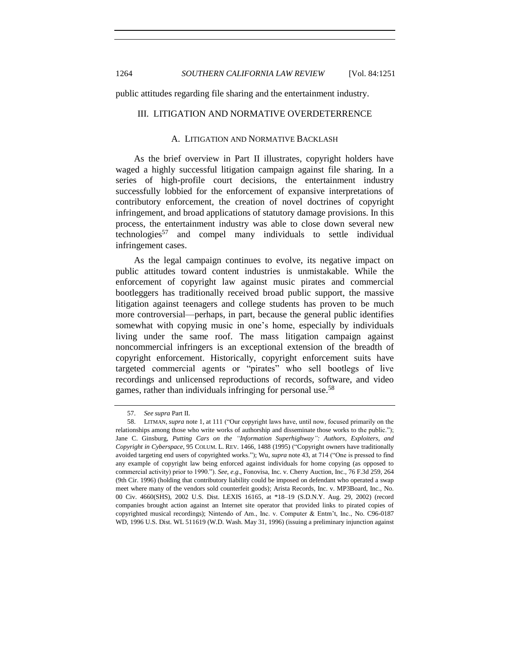1264 *SOUTHERN CALIFORNIA LAW REVIEW* [Vol. 84:1251

<span id="page-13-0"></span>public attitudes regarding file sharing and the entertainment industry.

#### <span id="page-13-1"></span>III. LITIGATION AND NORMATIVE OVERDETERRENCE

#### A. LITIGATION AND NORMATIVE BACKLASH

As the brief overview in Part II illustrates, copyright holders have waged a highly successful litigation campaign against file sharing. In a series of high-profile court decisions, the entertainment industry successfully lobbied for the enforcement of expansive interpretations of contributory enforcement, the creation of novel doctrines of copyright infringement, and broad applications of statutory damage provisions. In this process, the entertainment industry was able to close down several new technologies<sup>57</sup> and compel many individuals to settle individual infringement cases.

As the legal campaign continues to evolve, its negative impact on public attitudes toward content industries is unmistakable. While the enforcement of copyright law against music pirates and commercial bootleggers has traditionally received broad public support, the massive litigation against teenagers and college students has proven to be much more controversial—perhaps, in part, because the general public identifies somewhat with copying music in one's home, especially by individuals living under the same roof. The mass litigation campaign against noncommercial infringers is an exceptional extension of the breadth of copyright enforcement. Historically, copyright enforcement suits have targeted commercial agents or "pirates" who sell bootlegs of live recordings and unlicensed reproductions of records, software, and video games, rather than individuals infringing for personal use.<sup>58</sup>

<sup>57.</sup> *See supra* Part II.

<sup>58.</sup> LITMAN, *supra* not[e 1,](#page-2-2) at 111 ("Our copyright laws have, until now, focused primarily on the relationships among those who write works of authorship and disseminate those works to the public."); Jane C. Ginsburg, *Putting Cars on the "Information Superhighway": Authors, Exploiters, and Copyright in Cyberspace*, 95 COLUM. L. REV. 1466, 1488 (1995) ("Copyright owners have traditionally avoided targeting end users of copyrighted works."); Wu, *supra* not[e 43,](#page-10-0) at 714 ("One is pressed to find any example of copyright law being enforced against individuals for home copying (as opposed to commercial activity) prior to 1990."). *See*, *e.g.*, Fonovisa, Inc. v. Cherry Auction, Inc., 76 F.3d 259, 264 (9th Cir. 1996) (holding that contributory liability could be imposed on defendant who operated a swap meet where many of the vendors sold counterfeit goods); Arista Records, Inc. v. MP3Board, Inc., No. 00 Civ. 4660(SHS), 2002 U.S. Dist. LEXIS 16165, at \*18–19 (S.D.N.Y. Aug. 29, 2002) (record companies brought action against an Internet site operator that provided links to pirated copies of copyrighted musical recordings); Nintendo of Am., Inc. v. Computer & Entm't, Inc., No. C96-0187 WD, 1996 U.S. Dist. WL 511619 (W.D. Wash. May 31, 1996) (issuing a preliminary injunction against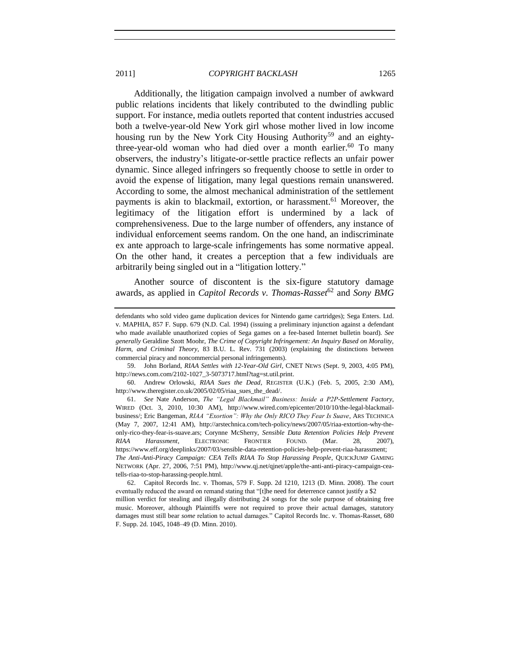Additionally, the litigation campaign involved a number of awkward public relations incidents that likely contributed to the dwindling public support. For instance, media outlets reported that content industries accused both a twelve-year-old New York girl whose mother lived in low income housing run by the New York City Housing Authority<sup>59</sup> and an eightythree-year-old woman who had died over a month earlier.<sup>60</sup> To many observers, the industry's litigate-or-settle practice reflects an unfair power dynamic. Since alleged infringers so frequently choose to settle in order to avoid the expense of litigation, many legal questions remain unanswered. According to some, the almost mechanical administration of the settlement payments is akin to blackmail, extortion, or harassment.<sup>61</sup> Moreover, the legitimacy of the litigation effort is undermined by a lack of comprehensiveness. Due to the large number of offenders, any instance of individual enforcement seems random. On the one hand, an indiscriminate ex ante approach to large-scale infringements has some normative appeal. On the other hand, it creates a perception that a few individuals are arbitrarily being singled out in a "litigation lottery."

Another source of discontent is the six-figure statutory damage awards, as applied in *Capitol Records v. Thomas-Rasset*<sup>62</sup> and *Sony BMG* 

59. John Borland, *RIAA Settles with 12-Year-Old Girl*, CNET NEWS (Sept. 9, 2003, 4:05 PM), http://news.com.com/2102-1027\_3-5073717.html?tag=st.util.print.

60. Andrew Orlowski, *RIAA Sues the Dead*, REGISTER (U.K.) (Feb. 5, 2005, 2:30 AM), http://www.theregister.co.uk/2005/02/05/riaa\_sues\_the\_dead/.

61. *See* Nate Anderson, *The "Legal Blackmail" Business: Inside a P2P-Settlement Factory*, WIRED (Oct. 3, 2010, 10:30 AM), http://www.wired.com/epicenter/2010/10/the-legal-blackmailbusiness/; Eric Bangeman, *RIAA "Exortion": Why the Only RICO They Fear Is Suave*, ARS TECHNICA (May 7, 2007, 12:41 AM), http://arstechnica.com/tech-policy/news/2007/05/riaa-extortion-why-theonly-rico-they-fear-is-suave.ars; Corynne McSherry, *Sensible Data Retention Policies Help Prevent RIAA Harassment*, ELECTRONIC FRONTIER FOUND. (Mar. 28, 2007), https://www.eff.org/deeplinks/2007/03/sensible-data-retention-policies-help-prevent-riaa-harassment; *The Anti-Anti-Piracy Campaign: CEA Tells RIAA To Stop Harassing People*, QUICKJUMP GAMING NETWORK (Apr. 27, 2006, 7:51 PM), http://www.qj.net/qjnet/apple/the-anti-anti-piracy-campaign-ceatells-riaa-to-stop-harassing-people.html.

62. Capitol Records Inc. v. Thomas, 579 F. Supp. 2d 1210, 1213 (D. Minn. 2008). The court eventually reduced the award on remand stating that "[t]he need for deterrence cannot justify a \$2 million verdict for stealing and illegally distributing 24 songs for the sole purpose of obtaining free music. Moreover, although Plaintiffs were not required to prove their actual damages, statutory damages must still bear *some* relation to actual damages." Capitol Records Inc. v. Thomas-Rasset, 680 F. Supp. 2d. 1045, 1048–49 (D. Minn. 2010).

defendants who sold video game duplication devices for Nintendo game cartridges); Sega Enters. Ltd. v. MAPHIA, 857 F. Supp. 679 (N.D. Cal. 1994) (issuing a preliminary injunction against a defendant who made available unauthorized copies of Sega games on a fee-based Internet bulletin board). *See generally* Geraldine Szott Moohr, *The Crime of Copyright Infringement: An Inquiry Based on Morality, Harm, and Criminal Theory*, 83 B.U. L. Rev. 731 (2003) (explaining the distinctions between commercial piracy and noncommercial personal infringements).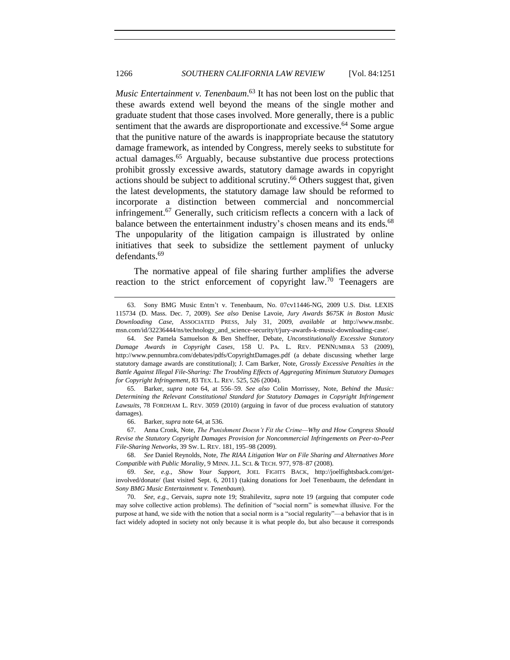<span id="page-15-0"></span>*Music Entertainment v. Tenenbaum*. <sup>63</sup> It has not been lost on the public that these awards extend well beyond the means of the single mother and graduate student that those cases involved. More generally, there is a public sentiment that the awards are disproportionate and excessive.<sup>64</sup> Some argue that the punitive nature of the awards is inappropriate because the statutory damage framework, as intended by Congress, merely seeks to substitute for actual damages.<sup>65</sup> Arguably, because substantive due process protections prohibit grossly excessive awards, statutory damage awards in copyright actions should be subject to additional scrutiny.<sup>66</sup> Others suggest that, given the latest developments, the statutory damage law should be reformed to incorporate a distinction between commercial and noncommercial infringement.<sup>67</sup> Generally, such criticism reflects a concern with a lack of balance between the entertainment industry's chosen means and its ends.<sup>68</sup> The unpopularity of the litigation campaign is illustrated by online initiatives that seek to subsidize the settlement payment of unlucky defendants.<sup>69</sup>

<span id="page-15-1"></span>The normative appeal of file sharing further amplifies the adverse reaction to the strict enforcement of copyright law.<sup>70</sup> Teenagers are

<sup>63.</sup> Sony BMG Music Entm't v. Tenenbaum, No. 07cv11446-NG, 2009 U.S. Dist. LEXIS 115734 (D. Mass. Dec. 7, 2009). *See also* Denise Lavoie, *Jury Awards \$675K in Boston Music Downloading Case*, ASSOCIATED PRESS, July 31, 2009, *available at* http://www.msnbc. msn.com/id/32236444/ns/technology\_and\_science-security/t/jury-awards-k-music-downloading-case/.

<sup>64.</sup> *See* Pamela Samuelson & Ben Sheffner, Debate, *Unconstitutionally Excessive Statutory Damage Awards in Copyright Cases*, 158 U. PA. L. REV. PENNUMBRA 53 (2009), http://www.pennumbra.com/debates/pdfs/CopyrightDamages.pdf (a debate discussing whether large statutory damage awards are constitutional); J. Cam Barker, Note, *Grossly Excessive Penalties in the Battle Against Illegal File-Sharing: The Troubling Effects of Aggregating Minimum Statutory Damages for Copyright Infringement*, 83 TEX. L. REV. 525, 526 (2004).

<sup>65</sup>*.* Barker, *supra* note [64,](#page-15-0) at 556–59*. See also* Colin Morrissey, Note, *Behind the Music: Determining the Relevant Constitutional Standard for Statutory Damages in Copyright Infringement Lawsuits*, 78 FORDHAM L. REV. 3059 (2010) (arguing in favor of due process evaluation of statutory damages).

<sup>66.</sup> Barker, *supra* note [64,](#page-15-0) at 536.

<sup>67.</sup> Anna Cronk, Note, *The Punishment Doesn"t Fit the Crime—Why and How Congress Should Revise the Statutory Copyright Damages Provision for Noncommercial Infringements on Peer-to-Peer File-Sharing Networks*, 39 SW. L. REV. 181, 195–98 (2009).

<sup>68.</sup> *See* Daniel Reynolds, Note, *The RIAA Litigation War on File Sharing and Alternatives More Compatible with Public Morality*, 9 MINN. J.L. SCI. & TECH. 977, 978–87 (2008).

<sup>69.</sup> *See*, *e.g.*, *Show Your Support*, JOEL FIGHTS BACK, http://joelfightsback.com/getinvolved/donate/ (last visited Sept. 6, 2011) (taking donations for Joel Tenenbaum, the defendant in *Sony BMG Music Entertainment v. Tenenbaum*).

<sup>70.</sup> *See*, *e.g.*, Gervais, *supra* note [19;](#page-5-0) Strahilevitz, *supra* note [19](#page-5-0) (arguing that computer code may solve collective action problems). The definition of "social norm" is somewhat illusive. For the purpose at hand, we side with the notion that a social norm is a "social regularity"—a behavior that is in fact widely adopted in society not only because it is what people do, but also because it corresponds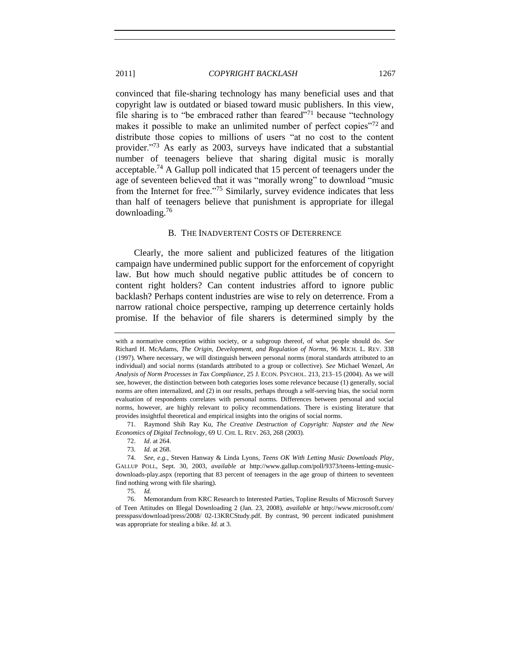convinced that file-sharing technology has many beneficial uses and that copyright law is outdated or biased toward music publishers. In this view, file sharing is to "be embraced rather than feared"<sup>71</sup> because "technology" makes it possible to make an unlimited number of perfect copies $\frac{1}{2}$  and distribute those copies to millions of users "at no cost to the content provider.<sup>773</sup> As early as 2003, surveys have indicated that a substantial number of teenagers believe that sharing digital music is morally acceptable.<sup>74</sup> A Gallup poll indicated that 15 percent of teenagers under the age of seventeen believed that it was "morally wrong" to download "music from the Internet for free.<sup>775</sup> Similarly, survey evidence indicates that less than half of teenagers believe that punishment is appropriate for illegal downloading.<sup>76</sup>

#### <span id="page-16-1"></span>B. THE INADVERTENT COSTS OF DETERRENCE

<span id="page-16-0"></span>Clearly, the more salient and publicized features of the litigation campaign have undermined public support for the enforcement of copyright law. But how much should negative public attitudes be of concern to content right holders? Can content industries afford to ignore public backlash? Perhaps content industries are wise to rely on deterrence. From a narrow rational choice perspective, ramping up deterrence certainly holds promise. If the behavior of file sharers is determined simply by the

75. *Id.*

76. Memorandum from KRC Research to Interested Parties, Topline Results of Microsoft Survey of Teen Attitudes on Illegal Downloading 2 (Jan. 23, 2008), *available at* http://www.microsoft.com/ presspass/download/press/2008/ 02-13KRCStudy.pdf. By contrast, 90 percent indicated punishment was appropriate for stealing a bike. *Id.* at 3.

with a normative conception within society, or a subgroup thereof, of what people should do. *See* Richard H. McAdams, *The Origin, Development, and Regulation of Norms*, 96 MICH. L. REV. 338 (1997). Where necessary, we will distinguish between personal norms (moral standards attributed to an individual) and social norms (standards attributed to a group or collective). *See* Michael Wenzel, *An Analysis of Norm Processes in Tax Compliance*, 25 J. ECON. PSYCHOL. 213, 213–15 (2004). As we will see, however, the distinction between both categories loses some relevance because (1) generally, social norms are often internalized, and (2) in our results, perhaps through a self-serving bias, the social norm evaluation of respondents correlates with personal norms. Differences between personal and social norms, however, are highly relevant to policy recommendations. There is existing literature that provides insightful theoretical and empirical insights into the origins of social norms.

<sup>71.</sup> Raymond Shih Ray Ku, *The Creative Destruction of Copyright: Napster and the New Economics of Digital Technology*, 69 U. CHI. L. REV. 263, 268 (2003).

<sup>72.</sup> *Id*. at 264.

<sup>73.</sup> *Id.* at 268.

<sup>74.</sup> *See, e.g.*, Steven Hanway & Linda Lyons, *Teens OK With Letting Music Downloads Play*, GALLUP POLL, Sept. 30, 2003, *available at* http://www.gallup.com/poll/9373/teens-letting-musicdownloads-play.aspx (reporting that 83 percent of teenagers in the age group of thirteen to seventeen find nothing wrong with file sharing).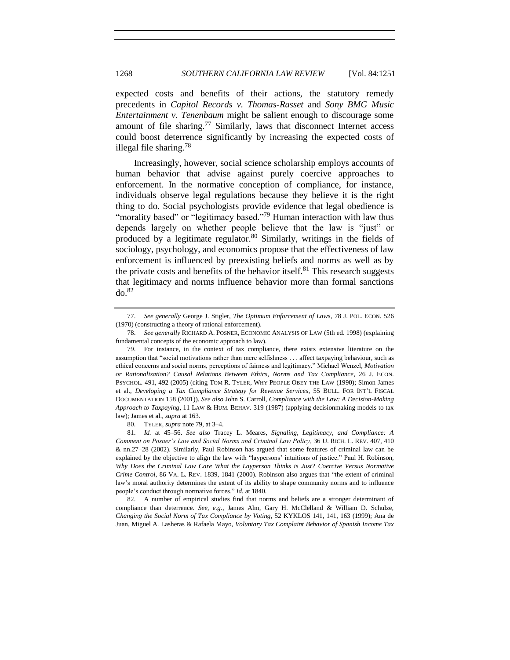expected costs and benefits of their actions, the statutory remedy precedents in *Capitol Records v. Thomas-Rasset* and *Sony BMG Music Entertainment v. Tenenbaum* might be salient enough to discourage some amount of file sharing.<sup>77</sup> Similarly, laws that disconnect Internet access could boost deterrence significantly by increasing the expected costs of illegal file sharing.<sup>78</sup>

<span id="page-17-0"></span>Increasingly, however, social science scholarship employs accounts of human behavior that advise against purely coercive approaches to enforcement. In the normative conception of compliance, for instance, individuals observe legal regulations because they believe it is the right thing to do. Social psychologists provide evidence that legal obedience is "morality based" or "legitimacy based."<sup>79</sup> Human interaction with law thus depends largely on whether people believe that the law is "just" or produced by a legitimate regulator. $80$  Similarly, writings in the fields of sociology, psychology, and economics propose that the effectiveness of law enforcement is influenced by preexisting beliefs and norms as well as by the private costs and benefits of the behavior itself.<sup>81</sup> This research suggests that legitimacy and norms influence behavior more than formal sanctions  $d\rho$ .<sup>82</sup>

80. TYLER, *supra* note [79,](#page-17-0) at 3–4.

82. A number of empirical studies find that norms and beliefs are a stronger determinant of compliance than deterrence. *See, e.g.*, James Alm, Gary H. McClelland & William D. Schulze, *Changing the Social Norm of Tax Compliance by Voting*, 52 KYKLOS 141, 141, 163 (1999); Ana de Juan, Miguel A. Lasheras & Rafaela Mayo, *Voluntary Tax Complaint Behavior of Spanish Income Tax* 

<span id="page-17-1"></span><sup>77.</sup> *See generally* George J. Stigler, *The Optimum Enforcement of Laws*, 78 J. POL. ECON. 526 (1970) (constructing a theory of rational enforcement).

<sup>78.</sup> *See generally* RICHARD A. POSNER, ECONOMIC ANALYSIS OF LAW (5th ed. 1998) (explaining fundamental concepts of the economic approach to law).

<sup>79.</sup> For instance, in the context of tax compliance, there exists extensive literature on the assumption that "social motivations rather than mere selfishness . . . affect taxpaying behaviour, such as ethical concerns and social norms, perceptions of fairness and legitimacy." Michael Wenzel, *Motivation or Rationalisation? Causal Relations Between Ethics, Norms and Tax Compliance*, 26 J. ECON. PSYCHOL. 491, 492 (2005) (citing TOM R. TYLER, WHY PEOPLE OBEY THE LAW (1990); Simon James et al., *Developing a Tax Compliance Strategy for Revenue Services*, 55 BULL. FOR INT'L FISCAL DOCUMENTATION 158 (2001)). *See also* John S. Carroll, *Compliance with the Law: A Decision-Making Approach to Taxpaying*, 11 LAW & HUM. BEHAV. 319 (1987) (applying decisionmaking models to tax law); James et al., *supra* at 163.

<sup>81.</sup> *Id.* at 45–56. *See also* Tracey L. Meares, *Signaling, Legitimacy, and Compliance: A Comment on Posner"s Law and Social Norms and Criminal Law Policy*, 36 U. RICH. L. REV. 407, 410 & nn.27–28 (2002). Similarly, Paul Robinson has argued that some features of criminal law can be explained by the objective to align the law with "laypersons' intuitions of justice." Paul H. Robinson, *Why Does the Criminal Law Care What the Layperson Thinks is Just? Coercive Versus Normative Crime Control*, 86 VA. L. REV. 1839, 1841 (2000). Robinson also argues that "the extent of criminal law's moral authority determines the extent of its ability to shape community norms and to influence people's conduct through normative forces." *Id.* at 1840.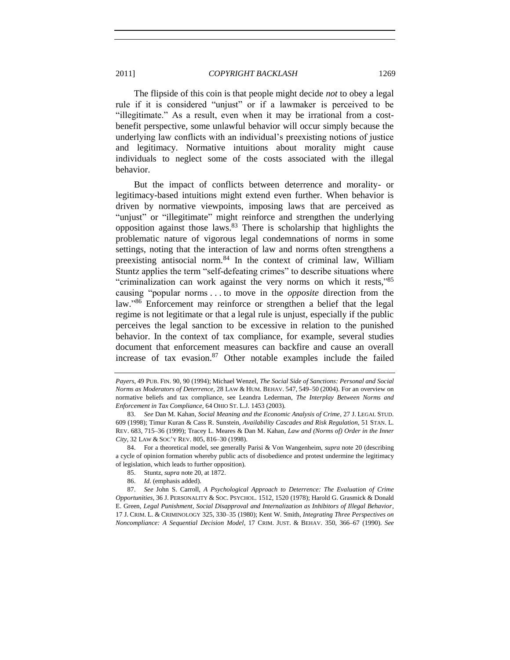The flipside of this coin is that people might decide *not* to obey a legal rule if it is considered "unjust" or if a lawmaker is perceived to be "illegitimate." As a result, even when it may be irrational from a costbenefit perspective, some unlawful behavior will occur simply because the underlying law conflicts with an individual's preexisting notions of justice and legitimacy. Normative intuitions about morality might cause individuals to neglect some of the costs associated with the illegal behavior.

<span id="page-18-0"></span>But the impact of conflicts between deterrence and morality- or legitimacy-based intuitions might extend even further. When behavior is driven by normative viewpoints, imposing laws that are perceived as "unjust" or "illegitimate" might reinforce and strengthen the underlying opposition against those laws. $83$  There is scholarship that highlights the problematic nature of vigorous legal condemnations of norms in some settings, noting that the interaction of law and norms often strengthens a preexisting antisocial norm.<sup>84</sup> In the context of criminal law, William Stuntz applies the term "self-defeating crimes" to describe situations where "criminalization can work against the very norms on which it rests,"85 causing "popular norms . . . to move in the *opposite* direction from the law."<sup>86</sup> Enforcement may reinforce or strengthen a belief that the legal regime is not legitimate or that a legal rule is unjust, especially if the public perceives the legal sanction to be excessive in relation to the punished behavior. In the context of tax compliance, for example, several studies document that enforcement measures can backfire and cause an overall increase of tax evasion. $87$  Other notable examples include the failed

84. For a theoretical model, see generally Parisi & Von Wangenheim, *supra* not[e 20](#page-5-1) (describing a cycle of opinion formation whereby public acts of disobedience and protest undermine the legitimacy of legislation, which leads to further opposition).

- 85. Stuntz, *supra* not[e 20,](#page-5-1) at 1872.
- 86. *Id*. (emphasis added).

87. *See* John S. Carroll, *A Psychological Approach to Deterrence: The Evaluation of Crime Opportunities*, 36 J. PERSONALITY & SOC. PSYCHOL. 1512, 1520 (1978); Harold G. Grasmick & Donald E. Green, *Legal Punishment, Social Disapproval and Internalization as Inhibitors of Illegal Behavior*, 17 J. CRIM. L. & CRIMINOLOGY 325, 330–35 (1980); Kent W. Smith, *Integrating Three Perspectives on Noncompliance: A Sequential Decision Model*, 17 CRIM. JUST. & BEHAV. 350, 366–67 (1990). *See*

*Payers*, 49 PUB. FIN. 90, 90 (1994); Michael Wenzel, *The Social Side of Sanctions: Personal and Social Norms as Moderators of Deterrence*, 28 LAW & HUM. BEHAV. 547, 549–50 (2004). For an overview on normative beliefs and tax compliance, see Leandra Lederman, *The Interplay Between Norms and Enforcement in Tax Compliance*, 64 OHIO ST. L.J. 1453 (2003).

<sup>83.</sup> *See* Dan M. Kahan, *Social Meaning and the Economic Analysis of Crime*, 27 J. LEGAL STUD. 609 (1998); Timur Kuran & Cass R. Sunstein, *Availability Cascades and Risk Regulation*, 51 STAN. L. REV. 683, 715–36 (1999); Tracey L. Meares & Dan M. Kahan, *Law and (Norms of) Order in the Inner City*, 32 LAW & SOC'Y REV. 805, 816–30 (1998).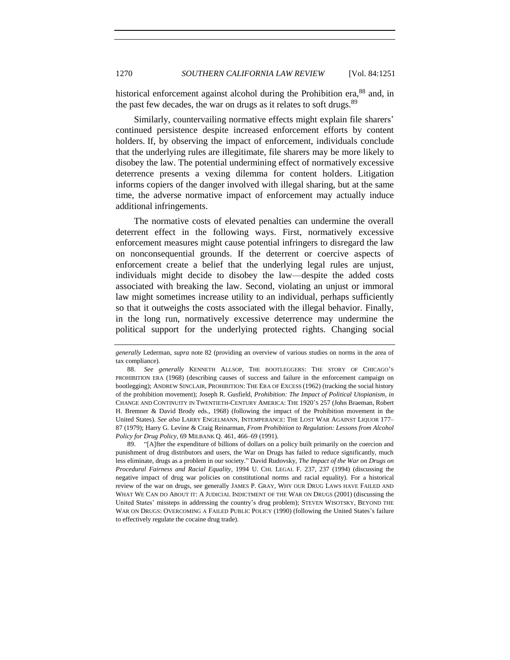historical enforcement against alcohol during the Prohibition era, 88 and, in the past few decades, the war on drugs as it relates to soft drugs.<sup>89</sup>

<span id="page-19-0"></span>Similarly, countervailing normative effects might explain file sharers' continued persistence despite increased enforcement efforts by content holders. If, by observing the impact of enforcement, individuals conclude that the underlying rules are illegitimate, file sharers may be more likely to disobey the law. The potential undermining effect of normatively excessive deterrence presents a vexing dilemma for content holders. Litigation informs copiers of the danger involved with illegal sharing, but at the same time, the adverse normative impact of enforcement may actually induce additional infringements.

The normative costs of elevated penalties can undermine the overall deterrent effect in the following ways. First, normatively excessive enforcement measures might cause potential infringers to disregard the law on nonconsequential grounds. If the deterrent or coercive aspects of enforcement create a belief that the underlying legal rules are unjust, individuals might decide to disobey the law—despite the added costs associated with breaking the law. Second, violating an unjust or immoral law might sometimes increase utility to an individual, perhaps sufficiently so that it outweighs the costs associated with the illegal behavior. Finally, in the long run, normatively excessive deterrence may undermine the political support for the underlying protected rights. Changing social

89. "[A]fter the expenditure of billions of dollars on a policy built primarily on the coercion and punishment of drug distributors and users, the War on Drugs has failed to reduce significantly, much less eliminate, drugs as a problem in our society." David Rudovsky, *The Impact of the War on Drugs on Procedural Fairness and Racial Equality*, 1994 U. CHI. LEGAL F. 237, 237 (1994) (discussing the negative impact of drug war policies on constitutional norms and racial equality). For a historical review of the war on drugs, see generally JAMES P. GRAY, WHY OUR DRUG LAWS HAVE FAILED AND WHAT WE CAN DO ABOUT IT: A JUDICIAL INDICTMENT OF THE WAR ON DRUGS (2001) (discussing the United States' missteps in addressing the country's drug problem); STEVEN WISOTSKY, BEYOND THE WAR ON DRUGS: OVERCOMING A FAILED PUBLIC POLICY (1990) (following the United States's failure to effectively regulate the cocaine drug trade).

*generally* Lederman, *supra* note [82](#page-17-1) (providing an overview of various studies on norms in the area of tax compliance).

<sup>88.</sup> *See generally* KENNETH ALLSOP, THE BOOTLEGGERS: THE STORY OF CHICAGO'S PROHIBITION ERA (1968) (describing causes of success and failure in the enforcement campaign on bootlegging); ANDREW SINCLAIR, PROHIBITION: THE ERA OF EXCESS (1962) (tracking the social history of the prohibition movement); Joseph R. Gusfield, *Prohibition: The Impact of Political Utopianism*, *in* CHANGE AND CONTINUITY IN TWENTIETH-CENTURY AMERICA: THE 1920'S 257 (John Braeman, Robert H. Bremner & David Brody eds., 1968) (following the impact of the Prohibition movement in the United States). *See also* LARRY ENGELMANN, INTEMPERANCE: THE LOST WAR AGAINST LIQUOR 177– 87 (1979); Harry G. Levine & Craig Reinarman, *From Prohibition to Regulation: Lessons from Alcohol Policy for Drug Policy*, 69 MILBANK Q. 461, 466–69 (1991).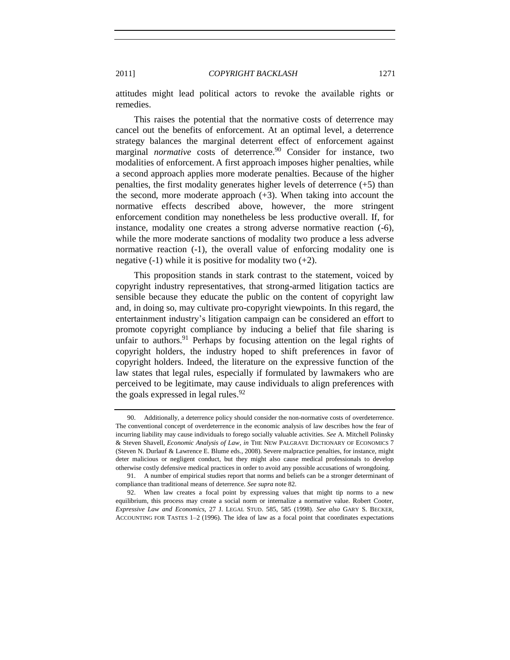attitudes might lead political actors to revoke the available rights or remedies.

This raises the potential that the normative costs of deterrence may cancel out the benefits of enforcement. At an optimal level, a deterrence strategy balances the marginal deterrent effect of enforcement against marginal *normative* costs of deterrence.<sup>90</sup> Consider for instance, two modalities of enforcement. A first approach imposes higher penalties, while a second approach applies more moderate penalties. Because of the higher penalties, the first modality generates higher levels of deterrence  $(+5)$  than the second, more moderate approach  $(+3)$ . When taking into account the normative effects described above, however, the more stringent enforcement condition may nonetheless be less productive overall. If, for instance, modality one creates a strong adverse normative reaction (-6), while the more moderate sanctions of modality two produce a less adverse normative reaction (-1), the overall value of enforcing modality one is negative  $(-1)$  while it is positive for modality two  $(+2)$ .

This proposition stands in stark contrast to the statement, voiced by copyright industry representatives, that strong-armed litigation tactics are sensible because they educate the public on the content of copyright law and, in doing so, may cultivate pro-copyright viewpoints. In this regard, the entertainment industry's litigation campaign can be considered an effort to promote copyright compliance by inducing a belief that file sharing is unfair to authors.<sup>91</sup> Perhaps by focusing attention on the legal rights of copyright holders, the industry hoped to shift preferences in favor of copyright holders. Indeed, the literature on the expressive function of the law states that legal rules, especially if formulated by lawmakers who are perceived to be legitimate, may cause individuals to align preferences with the goals expressed in legal rules. $92$ 

<sup>90.</sup> Additionally, a deterrence policy should consider the non-normative costs of overdeterrence. The conventional concept of overdeterrence in the economic analysis of law describes how the fear of incurring liability may cause individuals to forego socially valuable activities. *See* A. Mitchell Polinsky & Steven Shavell, *Economic Analysis of Law*, *in* THE NEW PALGRAVE DICTIONARY OF ECONOMICS 7 (Steven N. Durlauf & Lawrence E. Blume eds., 2008). Severe malpractice penalties, for instance, might deter malicious or negligent conduct, but they might also cause medical professionals to develop otherwise costly defensive medical practices in order to avoid any possible accusations of wrongdoing.

<sup>91.</sup> A number of empirical studies report that norms and beliefs can be a stronger determinant of compliance than traditional means of deterrence. *See supra* not[e 82.](#page-17-1)

<sup>92.</sup> When law creates a focal point by expressing values that might tip norms to a new equilibrium, this process may create a social norm or internalize a normative value. Robert Cooter, *Expressive Law and Economics*, 27 J. LEGAL STUD. 585, 585 (1998). *See also* GARY S. BECKER, ACCOUNTING FOR TASTES 1–2 (1996). The idea of law as a focal point that coordinates expectations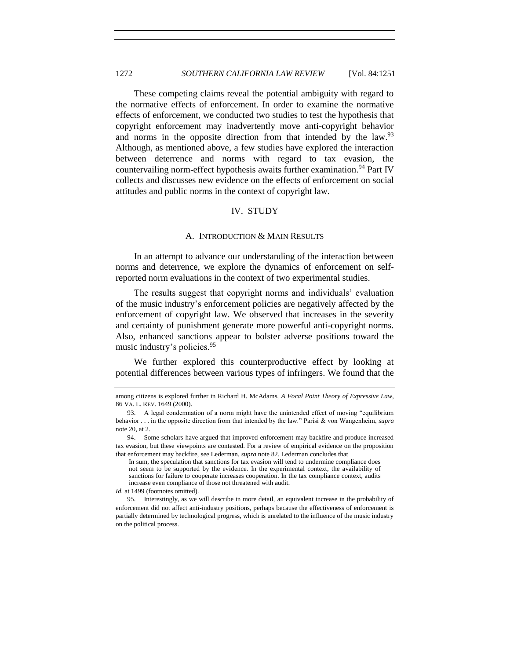These competing claims reveal the potential ambiguity with regard to the normative effects of enforcement. In order to examine the normative effects of enforcement, we conducted two studies to test the hypothesis that copyright enforcement may inadvertently move anti-copyright behavior and norms in the opposite direction from that intended by the law.<sup>93</sup> Although, as mentioned above, a few studies have explored the interaction between deterrence and norms with regard to tax evasion, the countervailing norm-effect hypothesis awaits further examination.<sup>94</sup> Part IV collects and discusses new evidence on the effects of enforcement on social attitudes and public norms in the context of copyright law.

## IV. STUDY

#### A. INTRODUCTION & MAIN RESULTS

<span id="page-21-1"></span><span id="page-21-0"></span>In an attempt to advance our understanding of the interaction between norms and deterrence, we explore the dynamics of enforcement on selfreported norm evaluations in the context of two experimental studies.

The results suggest that copyright norms and individuals' evaluation of the music industry's enforcement policies are negatively affected by the enforcement of copyright law. We observed that increases in the severity and certainty of punishment generate more powerful anti-copyright norms. Also, enhanced sanctions appear to bolster adverse positions toward the music industry's policies. 95

We further explored this counterproductive effect by looking at potential differences between various types of infringers. We found that the

*Id.* at 1499 (footnotes omitted).

among citizens is explored further in Richard H. McAdams, *A Focal Point Theory of Expressive Law*, 86 VA. L. REV. 1649 (2000).

<sup>93.</sup> A legal condemnation of a norm might have the unintended effect of moving "equilibrium behavior . . . in the opposite direction from that intended by the law." Parisi & von Wangenheim, *supra* note  $20$ , at  $2<sup>1</sup>$ 

<sup>94.</sup> Some scholars have argued that improved enforcement may backfire and produce increased tax evasion, but these viewpoints are contested. For a review of empirical evidence on the proposition that enforcement may backfire, see Lederman, *supra* not[e 82.](#page-17-1) Lederman concludes that

In sum, the speculation that sanctions for tax evasion will tend to undermine compliance does not seem to be supported by the evidence. In the experimental context, the availability of sanctions for failure to cooperate increases cooperation. In the tax compliance context, audits increase even compliance of those not threatened with audit.

<sup>95.</sup> Interestingly, as we will describe in more detail, an equivalent increase in the probability of enforcement did not affect anti-industry positions, perhaps because the effectiveness of enforcement is partially determined by technological progress, which is unrelated to the influence of the music industry on the political process.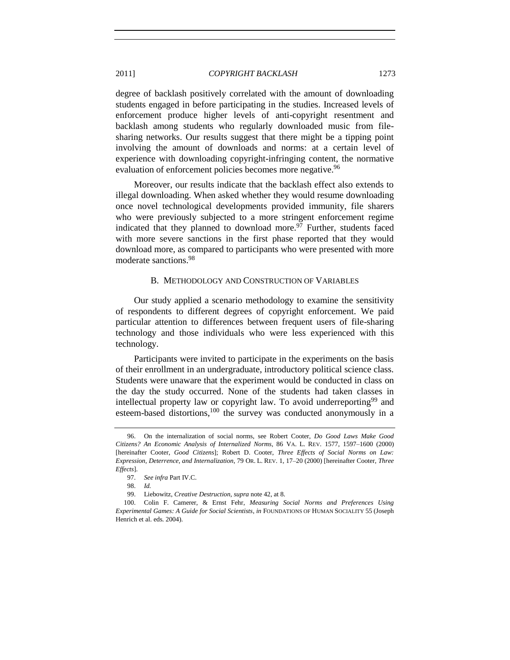degree of backlash positively correlated with the amount of downloading students engaged in before participating in the studies. Increased levels of enforcement produce higher levels of anti-copyright resentment and backlash among students who regularly downloaded music from filesharing networks. Our results suggest that there might be a tipping point involving the amount of downloads and norms: at a certain level of experience with downloading copyright-infringing content, the normative evaluation of enforcement policies becomes more negative.<sup>96</sup>

Moreover, our results indicate that the backlash effect also extends to illegal downloading. When asked whether they would resume downloading once novel technological developments provided immunity, file sharers who were previously subjected to a more stringent enforcement regime indicated that they planned to download more. $97$  Further, students faced with more severe sanctions in the first phase reported that they would download more, as compared to participants who were presented with more moderate sanctions<sup>98</sup>

#### <span id="page-22-1"></span>B. METHODOLOGY AND CONSTRUCTION OF VARIABLES

<span id="page-22-0"></span>Our study applied a scenario methodology to examine the sensitivity of respondents to different degrees of copyright enforcement. We paid particular attention to differences between frequent users of file-sharing technology and those individuals who were less experienced with this technology.

Participants were invited to participate in the experiments on the basis of their enrollment in an undergraduate, introductory political science class. Students were unaware that the experiment would be conducted in class on the day the study occurred. None of the students had taken classes in intellectual property law or copyright law. To avoid underreporting<sup>99</sup> and esteem-based distortions,<sup>100</sup> the survey was conducted anonymously in a

<sup>96.</sup> On the internalization of social norms, see Robert Cooter, *Do Good Laws Make Good Citizens? An Economic Analysis of Internalized Norms*, 86 VA. L. REV. 1577, 1597–1600 (2000) [hereinafter Cooter, *Good Citizens*]; Robert D. Cooter, *Three Effects of Social Norms on Law: Expression, Deterrence, and Internalization*, 79 OR. L. REV. 1, 17–20 (2000) [hereinafter Cooter, *Three Effects*].

<sup>97.</sup> *See infra* Part IV.C.

<sup>98.</sup> *Id.*

<sup>99.</sup> Liebowitz, *Creative Destruction*, *supra* note [42,](#page-10-1) at 8.

<sup>100.</sup> Colin F. Camerer, & Ernst Fehr, *Measuring Social Norms and Preferences Using Experimental Games: A Guide for Social Scientists*, *in* FOUNDATIONS OF HUMAN SOCIALITY 55 (Joseph Henrich et al. eds. 2004).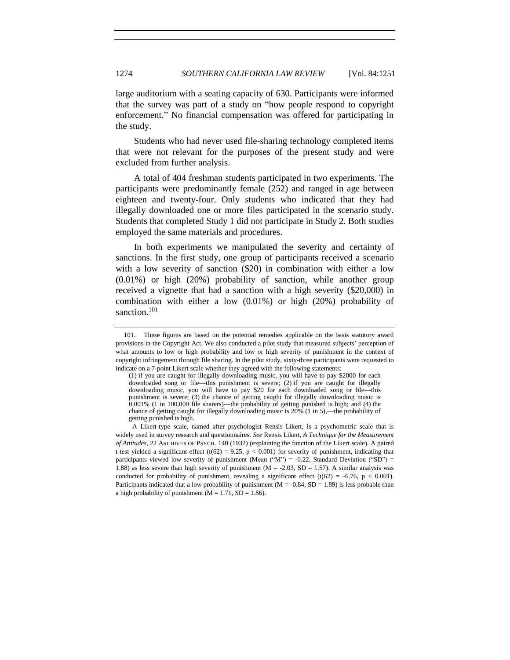large auditorium with a seating capacity of 630. Participants were informed that the survey was part of a study on "how people respond to copyright enforcement." No financial compensation was offered for participating in the study.

Students who had never used file-sharing technology completed items that were not relevant for the purposes of the present study and were excluded from further analysis.

A total of 404 freshman students participated in two experiments. The participants were predominantly female (252) and ranged in age between eighteen and twenty-four. Only students who indicated that they had illegally downloaded one or more files participated in the scenario study. Students that completed Study 1 did not participate in Study 2. Both studies employed the same materials and procedures.

In both experiments we manipulated the severity and certainty of sanctions. In the first study, one group of participants received a scenario with a low severity of sanction (\$20) in combination with either a low (0.01%) or high (20%) probability of sanction, while another group received a vignette that had a sanction with a high severity (\$20,000) in combination with either a low (0.01%) or high (20%) probability of sanction.<sup>101</sup>

<sup>101.</sup> These figures are based on the potential remedies applicable on the basis statutory award provisions in the Copyright Act. We also conducted a pilot study that measured subjects' perception of what amounts to low or high probability and low or high severity of punishment in the context of copyright infringement through file sharing. In the pilot study, sixty-three participants were requested to indicate on a 7-point Likert scale whether they agreed with the following statements:

<sup>(1)</sup> if you are caught for illegally downloading music, you will have to pay \$2000 for each downloaded song or file—this punishment is severe; (2) if you are caught for illegally downloading music, you will have to pay \$20 for each downloaded song or file—this punishment is severe; (3) the chance of getting caught for illegally downloading music is 0.001% (1 in 100,000 file sharers)—the probability of getting punished is high; and (4) the chance of getting caught for illegally downloading music is 20% (1 in 5),—the probability of getting punished is high.

A Likert-type scale, named after psychologist Rensis Likert, is a psychometric scale that is widely used in survey research and questionnaires. *See* Rensis Likert, *A Technique for the Measurement of Attitudes*, 22 ARCHIVES OF PSYCH. 140 (1932) (explaining the function of the Likert scale). A paired t-test yielded a significant effect (t(62) = 9.25, p < 0.001) for severity of punishment, indicating that participants viewed low severity of punishment (Mean  $($ "M" $)$  = -0.22, Standard Deviation ("SD" $)$  = 1.88) as less severe than high severity of punishment ( $M = -2.03$ ,  $SD = 1.57$ ). A similar analysis was conducted for probability of punishment, revealing a significant effect (t(62) = -6.76, p < 0.001). Participants indicated that a low probability of punishment ( $M = -0.84$ ,  $SD = 1.89$ ) is less probable than a high probability of punishment ( $M = 1.71$ , SD = 1.86).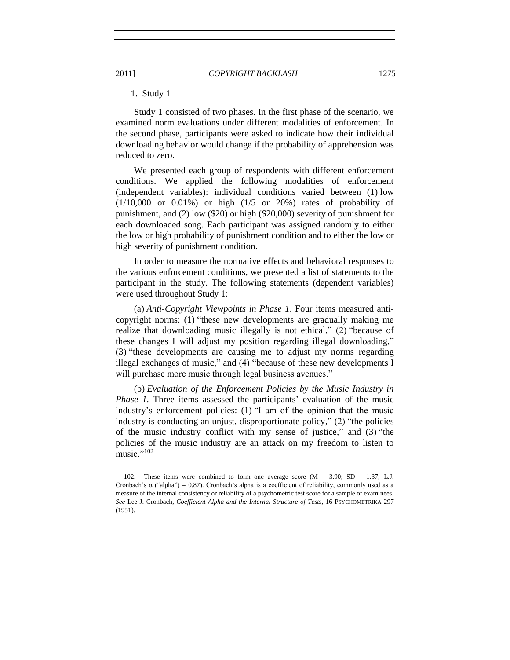<span id="page-24-0"></span>1. Study 1

Study 1 consisted of two phases. In the first phase of the scenario, we examined norm evaluations under different modalities of enforcement. In the second phase, participants were asked to indicate how their individual downloading behavior would change if the probability of apprehension was reduced to zero.

We presented each group of respondents with different enforcement conditions. We applied the following modalities of enforcement (independent variables): individual conditions varied between (1) low (1/10,000 or 0.01%) or high (1/5 or 20%) rates of probability of punishment, and (2) low (\$20) or high (\$20,000) severity of punishment for each downloaded song. Each participant was assigned randomly to either the low or high probability of punishment condition and to either the low or high severity of punishment condition.

In order to measure the normative effects and behavioral responses to the various enforcement conditions, we presented a list of statements to the participant in the study. The following statements (dependent variables) were used throughout Study 1:

(a) *Anti-Copyright Viewpoints in Phase 1*. Four items measured anticopyright norms: (1) "these new developments are gradually making me realize that downloading music illegally is not ethical,"  $(2)$  "because of these changes I will adjust my position regarding illegal downloading," (3) "these developments are causing me to adjust my norms regarding illegal exchanges of music," and  $(4)$  "because of these new developments I will purchase more music through legal business avenues."

(b) *Evaluation of the Enforcement Policies by the Music Industry in Phase 1.* Three items assessed the participants' evaluation of the music industry's enforcement policies:  $(1)$  "I am of the opinion that the music industry is conducting an unjust, disproportionate policy,"  $(2)$  "the policies of the music industry conflict with my sense of justice," and  $(3)$  "the policies of the music industry are an attack on my freedom to listen to music." $102$ 

<sup>102.</sup> These items were combined to form one average score (M = 3.90; SD = 1.37; L.J. Cronbach's  $\alpha$  ("alpha") = 0.87). Cronbach's alpha is a coefficient of reliability, commonly used as a measure of the internal consistency or reliability of a psychometric test score for a sample of examinees. *See* Lee J. Cronbach, *Coefficient Alpha and the Internal Structure of Tests*, 16 PSYCHOMETRIKA 297 (1951).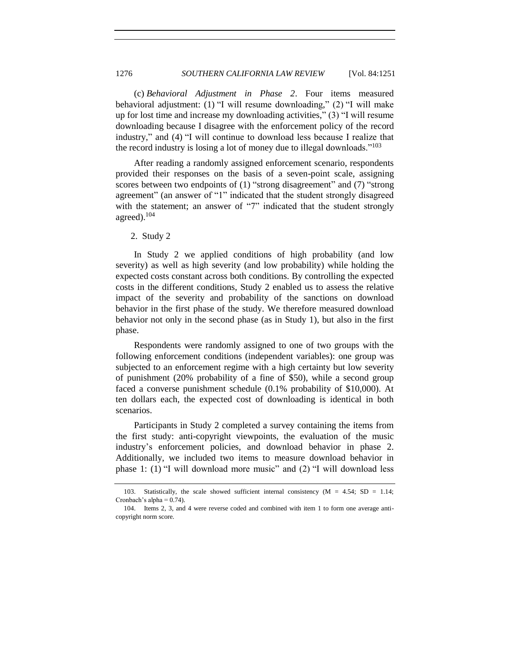(c) *Behavioral Adjustment in Phase 2*. Four items measured behavioral adjustment: (1)  $\text{``I will resume downloading''}$  (2)  $\text{``I will make}$ up for lost time and increase my downloading activities,"  $(3)$  "I will resume downloading because I disagree with the enforcement policy of the record industry," and (4) "I will continue to download less because I realize that the record industry is losing a lot of money due to illegal downloads."<sup>103</sup>

After reading a randomly assigned enforcement scenario, respondents provided their responses on the basis of a seven-point scale, assigning scores between two endpoints of  $(1)$  "strong disagreement" and  $(7)$  "strong agreement" (an answer of "1" indicated that the student strongly disagreed with the statement; an answer of "7" indicated that the student strongly agreed).<sup>104</sup>

<span id="page-25-0"></span>2. Study 2

In Study 2 we applied conditions of high probability (and low severity) as well as high severity (and low probability) while holding the expected costs constant across both conditions. By controlling the expected costs in the different conditions, Study 2 enabled us to assess the relative impact of the severity and probability of the sanctions on download behavior in the first phase of the study. We therefore measured download behavior not only in the second phase (as in Study 1), but also in the first phase.

Respondents were randomly assigned to one of two groups with the following enforcement conditions (independent variables): one group was subjected to an enforcement regime with a high certainty but low severity of punishment (20% probability of a fine of \$50), while a second group faced a converse punishment schedule (0.1% probability of \$10,000). At ten dollars each, the expected cost of downloading is identical in both scenarios.

Participants in Study 2 completed a survey containing the items from the first study: anti-copyright viewpoints, the evaluation of the music industry's enforcement policies, and download behavior in phase 2. Additionally, we included two items to measure download behavior in phase 1: (1)  $\degree$ I will download more music" and (2)  $\degree$ I will download less

<sup>103.</sup> Statistically, the scale showed sufficient internal consistency (M = 4.54; SD = 1.14; Cronbach's alpha  $= 0.74$ ).

<sup>104.</sup> Items 2, 3, and 4 were reverse coded and combined with item 1 to form one average anticopyright norm score.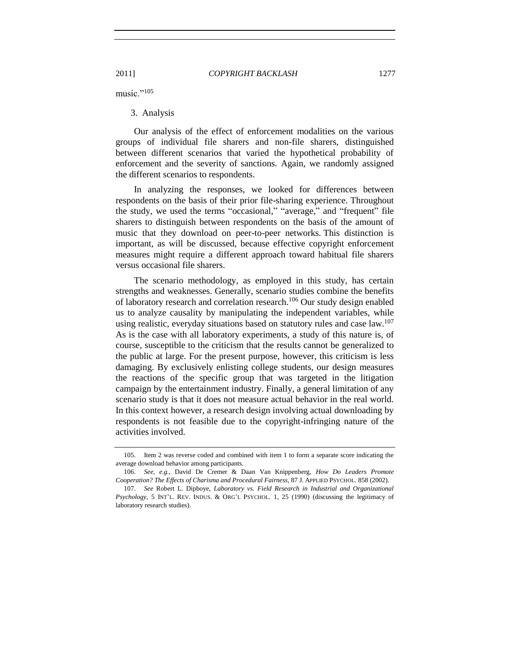music. $105$ 

## <span id="page-26-0"></span>3. Analysis

Our analysis of the effect of enforcement modalities on the various groups of individual file sharers and non-file sharers, distinguished between different scenarios that varied the hypothetical probability of enforcement and the severity of sanctions. Again, we randomly assigned the different scenarios to respondents.

In analyzing the responses, we looked for differences between respondents on the basis of their prior file-sharing experience. Throughout the study, we used the terms "occasional," "average," and "frequent" file sharers to distinguish between respondents on the basis of the amount of music that they download on peer-to-peer networks. This distinction is important, as will be discussed, because effective copyright enforcement measures might require a different approach toward habitual file sharers versus occasional file sharers.

The scenario methodology, as employed in this study, has certain strengths and weaknesses. Generally, scenario studies combine the benefits of laboratory research and correlation research.<sup>106</sup> Our study design enabled us to analyze causality by manipulating the independent variables, while using realistic, everyday situations based on statutory rules and case  $\text{law}^{\,107}$ As is the case with all laboratory experiments, a study of this nature is, of course, susceptible to the criticism that the results cannot be generalized to the public at large. For the present purpose, however, this criticism is less damaging. By exclusively enlisting college students, our design measures the reactions of the specific group that was targeted in the litigation campaign by the entertainment industry. Finally, a general limitation of any scenario study is that it does not measure actual behavior in the real world. In this context however, a research design involving actual downloading by respondents is not feasible due to the copyright-infringing nature of the activities involved.

<sup>105.</sup> Item 2 was reverse coded and combined with item 1 to form a separate score indicating the average download behavior among participants.

<sup>106.</sup> *See*, *e.g.*, David De Cremer & Daan Van Knippenberg, *How Do Leaders Promote Cooperation? The Effects of Charisma and Procedural Fairness*, 87 J. APPLIED PSYCHOL. 858 (2002).

<sup>107.</sup> *See* Robert L. Dipboye, *Laboratory vs. Field Research in Industrial and Organizational Psychology*, 5 INT'L. REV. INDUS. & ORG'L PSYCHOL. 1, 25 (1990) (discussing the legitimacy of laboratory research studies).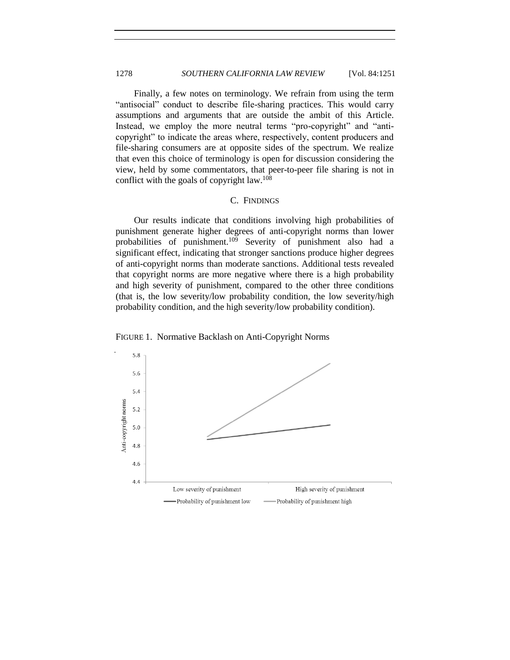Finally, a few notes on terminology. We refrain from using the term "antisocial" conduct to describe file-sharing practices. This would carry assumptions and arguments that are outside the ambit of this Article. Instead, we employ the more neutral terms "pro-copyright" and "anticopyright" to indicate the areas where, respectively, content producers and file-sharing consumers are at opposite sides of the spectrum. We realize that even this choice of terminology is open for discussion considering the view, held by some commentators, that peer-to-peer file sharing is not in conflict with the goals of copyright law.<sup>108</sup>

#### C. FINDINGS

<span id="page-27-0"></span>Our results indicate that conditions involving high probabilities of punishment generate higher degrees of anti-copyright norms than lower probabilities of punishment.<sup>109</sup> Severity of punishment also had a significant effect, indicating that stronger sanctions produce higher degrees of anti-copyright norms than moderate sanctions. Additional tests revealed that copyright norms are more negative where there is a high probability and high severity of punishment, compared to the other three conditions (that is, the low severity/low probability condition, the low severity/high probability condition, and the high severity/low probability condition).



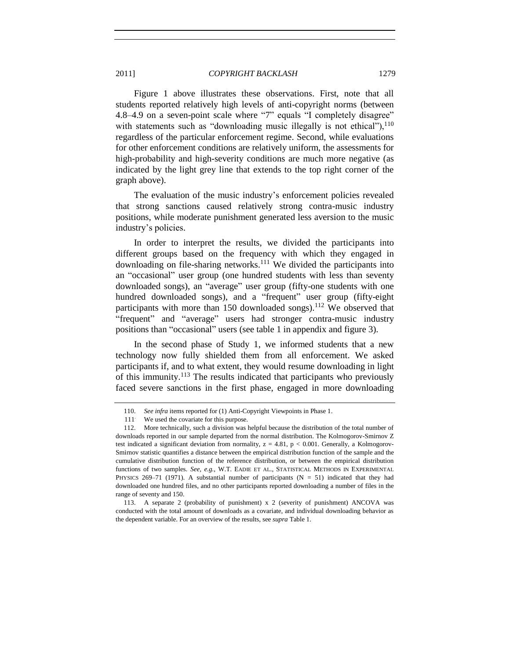Figure 1 above illustrates these observations. First, note that all students reported relatively high levels of anti-copyright norms (between 4.8–4.9 on a seven-point scale where "7" equals "I completely disagree" with statements such as "downloading music illegally is not ethical"),  $110$ regardless of the particular enforcement regime. Second, while evaluations for other enforcement conditions are relatively uniform, the assessments for high-probability and high-severity conditions are much more negative (as indicated by the light grey line that extends to the top right corner of the graph above).

The evaluation of the music industry's enforcement policies revealed that strong sanctions caused relatively strong contra-music industry positions, while moderate punishment generated less aversion to the music industry's policies.

In order to interpret the results, we divided the participants into different groups based on the frequency with which they engaged in downloading on file-sharing networks.<sup>111</sup> We divided the participants into an "occasional" user group (one hundred students with less than seventy downloaded songs), an "average" user group (fifty-one students with one hundred downloaded songs), and a "frequent" user group (fifty-eight participants with more than 150 downloaded songs).<sup>112</sup> We observed that "frequent" and "average" users had stronger contra-music industry positions than "occasional" users (see table 1 in appendix and figure 3).

In the second phase of Study 1, we informed students that a new technology now fully shielded them from all enforcement. We asked participants if, and to what extent, they would resume downloading in light of this immunity.<sup>113</sup> The results indicated that participants who previously faced severe sanctions in the first phase, engaged in more downloading

<sup>110.</sup> *See infra* items reported for (1) Anti-Copyright Viewpoints in Phase 1.

<sup>111</sup>. We used the covariate for this purpose.

<sup>112.</sup> More technically, such a division was helpful because the distribution of the total number of downloads reported in our sample departed from the normal distribution. The Kolmogorov-Smirnov Z test indicated a significant deviation from normality,  $z = 4.81$ ,  $p < 0.001$ . Generally, a Kolmogorov-Smirnov statistic quantifies a distance between the empirical distribution function of the sample and the cumulative distribution function of the reference distribution, or between the empirical distribution functions of two samples. *See, e.g.*, W.T. EADIE ET AL., STATISTICAL METHODS IN EXPERIMENTAL PHYSICS 269-71 (1971). A substantial number of participants  $(N = 51)$  indicated that they had downloaded one hundred files, and no other participants reported downloading a number of files in the range of seventy and 150.

<sup>113.</sup> A separate 2 (probability of punishment) x 2 (severity of punishment) ANCOVA was conducted with the total amount of downloads as a covariate, and individual downloading behavior as the dependent variable. For an overview of the results, see *supra* Table 1.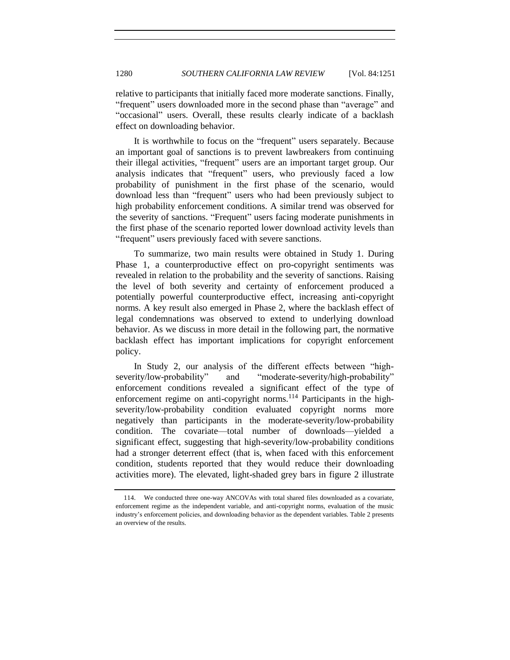relative to participants that initially faced more moderate sanctions. Finally, "frequent" users downloaded more in the second phase than "average" and ―occasional‖ users. Overall, these results clearly indicate of a backlash effect on downloading behavior.

It is worthwhile to focus on the "frequent" users separately. Because an important goal of sanctions is to prevent lawbreakers from continuing their illegal activities, "frequent" users are an important target group. Our analysis indicates that "frequent" users, who previously faced a low probability of punishment in the first phase of the scenario, would download less than "frequent" users who had been previously subject to high probability enforcement conditions. A similar trend was observed for the severity of sanctions. "Frequent" users facing moderate punishments in the first phase of the scenario reported lower download activity levels than "frequent" users previously faced with severe sanctions.

To summarize, two main results were obtained in Study 1. During Phase 1, a counterproductive effect on pro-copyright sentiments was revealed in relation to the probability and the severity of sanctions. Raising the level of both severity and certainty of enforcement produced a potentially powerful counterproductive effect, increasing anti-copyright norms. A key result also emerged in Phase 2, where the backlash effect of legal condemnations was observed to extend to underlying download behavior. As we discuss in more detail in the following part, the normative backlash effect has important implications for copyright enforcement policy.

In Study 2, our analysis of the different effects between "highseverity/low-probability" and "moderate-severity/high-probability" enforcement conditions revealed a significant effect of the type of enforcement regime on anti-copyright norms.<sup>114</sup> Participants in the highseverity/low-probability condition evaluated copyright norms more negatively than participants in the moderate-severity/low-probability condition. The covariate—total number of downloads—yielded a significant effect, suggesting that high-severity/low-probability conditions had a stronger deterrent effect (that is, when faced with this enforcement condition, students reported that they would reduce their downloading activities more). The elevated, light-shaded grey bars in figure 2 illustrate

<sup>114.</sup> We conducted three one-way ANCOVAs with total shared files downloaded as a covariate, enforcement regime as the independent variable, and anti-copyright norms, evaluation of the music industry's enforcement policies, and downloading behavior as the dependent variables. Table 2 presents an overview of the results.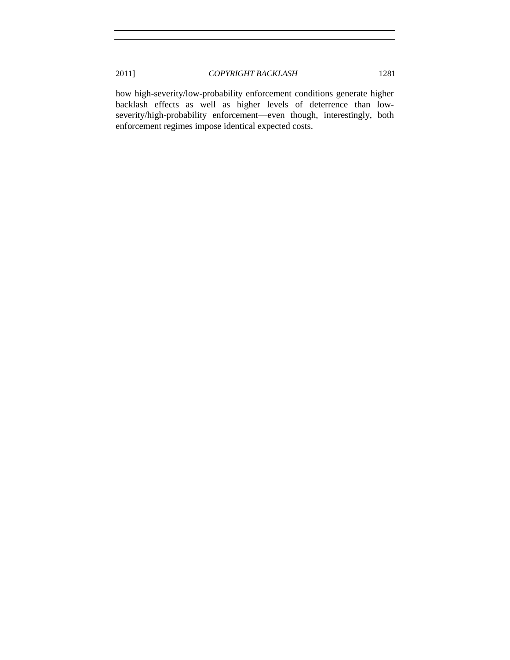how high-severity/low-probability enforcement conditions generate higher backlash effects as well as higher levels of deterrence than lowseverity/high-probability enforcement—even though, interestingly, both enforcement regimes impose identical expected costs.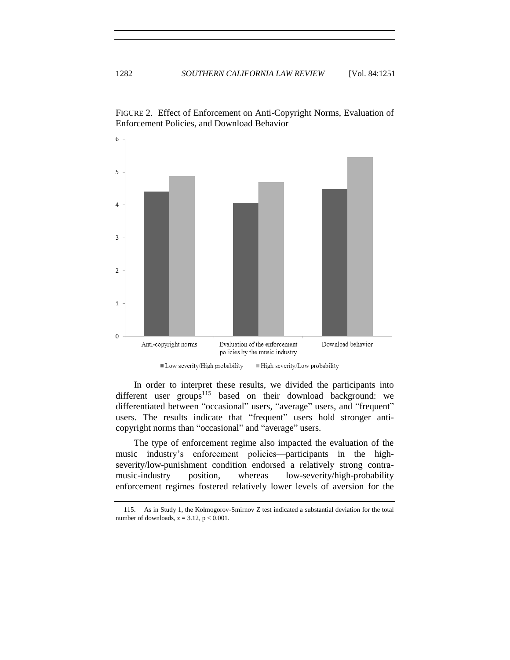

FIGURE 2. Effect of Enforcement on Anti-Copyright Norms, Evaluation of Enforcement Policies, and Download Behavior

In order to interpret these results, we divided the participants into different user groups<sup>115</sup> based on their download background: we differentiated between "occasional" users, "average" users, and "frequent" users. The results indicate that "frequent" users hold stronger anticopyright norms than "occasional" and "average" users.

The type of enforcement regime also impacted the evaluation of the music industry's enforcement policies—participants in the highseverity/low-punishment condition endorsed a relatively strong contramusic-industry position, whereas low-severity/high-probability enforcement regimes fostered relatively lower levels of aversion for the

<sup>115.</sup> As in Study 1, the Kolmogorov-Smirnov Z test indicated a substantial deviation for the total number of downloads,  $z = 3.12$ ,  $p < 0.001$ .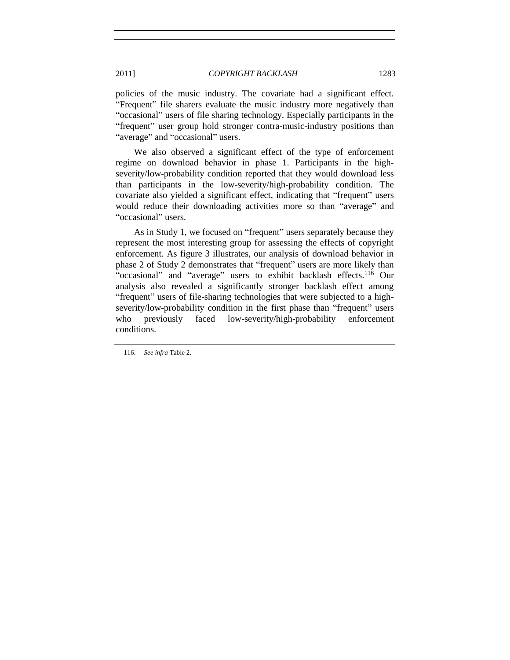policies of the music industry. The covariate had a significant effect. "Frequent" file sharers evaluate the music industry more negatively than ―occasional‖ users of file sharing technology. Especially participants in the "frequent" user group hold stronger contra-music-industry positions than "average" and "occasional" users.

We also observed a significant effect of the type of enforcement regime on download behavior in phase 1. Participants in the highseverity/low-probability condition reported that they would download less than participants in the low-severity/high-probability condition. The covariate also yielded a significant effect, indicating that "frequent" users would reduce their downloading activities more so than "average" and "occasional" users.

As in Study 1, we focused on "frequent" users separately because they represent the most interesting group for assessing the effects of copyright enforcement. As figure 3 illustrates, our analysis of download behavior in phase 2 of Study 2 demonstrates that "frequent" users are more likely than "occasional" and "average" users to exhibit backlash effects.<sup>116</sup> Our analysis also revealed a significantly stronger backlash effect among "frequent" users of file-sharing technologies that were subjected to a highseverity/low-probability condition in the first phase than "frequent" users who previously faced low-severity/high-probability enforcement conditions.

116. *See infra* Table 2.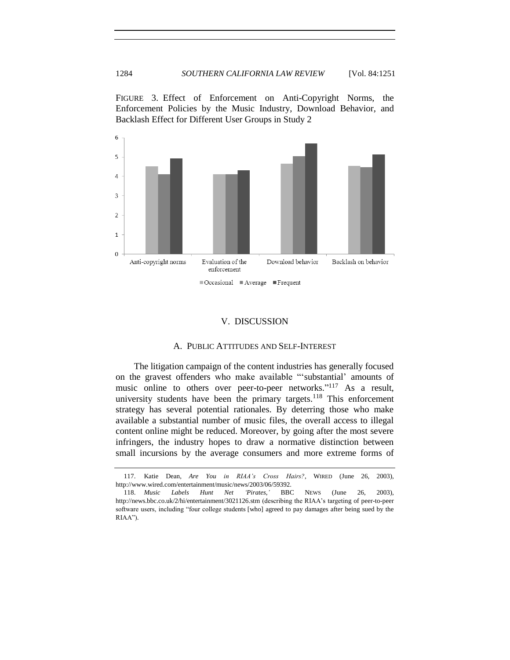FIGURE 3. Effect of Enforcement on Anti-Copyright Norms, the Enforcement Policies by the Music Industry, Download Behavior, and Backlash Effect for Different User Groups in Study 2



#### <span id="page-33-2"></span>V. DISCUSSION

#### A. PUBLIC ATTITUDES AND SELF-INTEREST

<span id="page-33-1"></span><span id="page-33-0"></span>The litigation campaign of the content industries has generally focused on the gravest offenders who make available "substantial' amounts of music online to others over peer-to-peer networks."<sup>117</sup> As a result, university students have been the primary targets.<sup>118</sup> This enforcement strategy has several potential rationales. By deterring those who make available a substantial number of music files, the overall access to illegal content online might be reduced. Moreover, by going after the most severe infringers, the industry hopes to draw a normative distinction between small incursions by the average consumers and more extreme forms of

<sup>117.</sup> Katie Dean, *Are You in RIAA"s Cross Hairs?*, WIRED (June 26, 2003), http://www.wired.com/entertainment/music/news/2003/06/59392.

<sup>118.</sup> *Music Labels Hunt Net "Pirates*,*"* BBC NEWS (June 26, 2003), http://news.bbc.co.uk/2/hi/entertainment/3021126.stm (describing the RIAA's targeting of peer-to-peer software users, including "four college students [who] agreed to pay damages after being sued by the RIAA").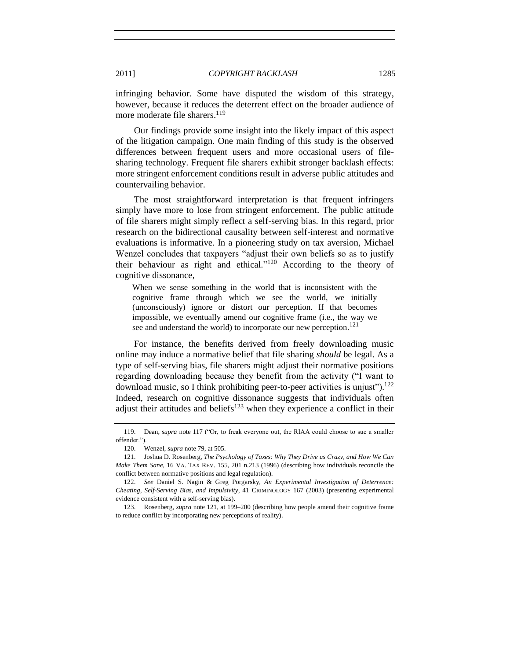infringing behavior. Some have disputed the wisdom of this strategy, however, because it reduces the deterrent effect on the broader audience of more moderate file sharers.<sup>119</sup>

Our findings provide some insight into the likely impact of this aspect of the litigation campaign. One main finding of this study is the observed differences between frequent users and more occasional users of filesharing technology. Frequent file sharers exhibit stronger backlash effects: more stringent enforcement conditions result in adverse public attitudes and countervailing behavior.

The most straightforward interpretation is that frequent infringers simply have more to lose from stringent enforcement. The public attitude of file sharers might simply reflect a self-serving bias. In this regard, prior research on the bidirectional causality between self-interest and normative evaluations is informative. In a pioneering study on tax aversion, Michael Wenzel concludes that taxpayers "adjust their own beliefs so as to justify their behaviour as right and ethical." $120$  According to the theory of cognitive dissonance,

<span id="page-34-0"></span>When we sense something in the world that is inconsistent with the cognitive frame through which we see the world, we initially (unconsciously) ignore or distort our perception. If that becomes impossible, we eventually amend our cognitive frame (i.e., the way we see and understand the world) to incorporate our new perception.<sup>121</sup>

For instance, the benefits derived from freely downloading music online may induce a normative belief that file sharing *should* be legal. As a type of self-serving bias, file sharers might adjust their normative positions regarding downloading because they benefit from the activity ("I want to download music, so I think prohibiting peer-to-peer activities is unjust").<sup>122</sup> Indeed, research on cognitive dissonance suggests that individuals often adjust their attitudes and beliefs<sup>123</sup> when they experience a conflict in their

<sup>119.</sup> Dean, *supra* note [117](#page-33-2) ("Or, to freak everyone out, the RIAA could choose to sue a smaller offender.").

<sup>120.</sup> Wenzel, *supra* not[e 79,](#page-17-0) at 505.

<sup>121.</sup> Joshua D. Rosenberg, *The Psychology of Taxes: Why They Drive us Crazy, and How We Can Make Them Sane*, 16 VA. TAX REV. 155, 201 n.213 (1996) (describing how individuals reconcile the conflict between normative positions and legal regulation).

<sup>122.</sup> *See* Daniel S. Nagin & Greg Porgarsky, *An Experimental Investigation of Deterrence: Cheating, Self-Serving Bias, and Impulsivity*, 41 CRIMINOLOGY 167 (2003) (presenting experimental evidence consistent with a self-serving bias).

<sup>123.</sup> Rosenberg, *supra* not[e 121,](#page-34-0) at 199–200 (describing how people amend their cognitive frame to reduce conflict by incorporating new perceptions of reality).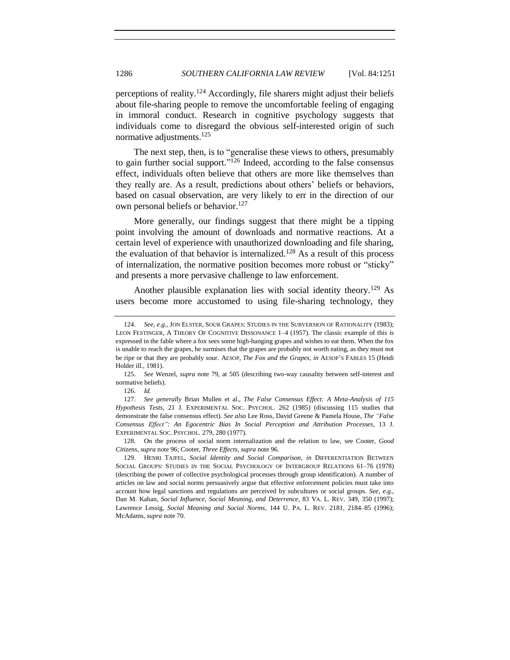perceptions of reality.<sup>124</sup> Accordingly, file sharers might adjust their beliefs about file-sharing people to remove the uncomfortable feeling of engaging in immoral conduct. Research in cognitive psychology suggests that individuals come to disregard the obvious self-interested origin of such normative adjustments.<sup>125</sup>

<span id="page-35-0"></span>The next step, then, is to "generalise these views to others, presumably to gain further social support." $126$  Indeed, according to the false consensus effect, individuals often believe that others are more like themselves than they really are. As a result, predictions about others' beliefs or behaviors, based on casual observation, are very likely to err in the direction of our own personal beliefs or behavior.<sup>127</sup>

More generally, our findings suggest that there might be a tipping point involving the amount of downloads and normative reactions. At a certain level of experience with unauthorized downloading and file sharing, the evaluation of that behavior is internalized.<sup>128</sup> As a result of this process of internalization, the normative position becomes more robust or "sticky" and presents a more pervasive challenge to law enforcement.

Another plausible explanation lies with social identity theory.<sup>129</sup> As users become more accustomed to using file-sharing technology, they

126. *Id.*

<sup>124.</sup> *See, e.g.*, JON ELSTER, SOUR GRAPES: STUDIES IN THE SUBVERSION OF RATIONALITY (1983); LEON FESTINGER, A THEORY OF COGNITIVE DISSONANCE 1–4 (1957). The classic example of this is expressed in the fable where a fox sees some high-hanging grapes and wishes to eat them. When the fox is unable to reach the grapes, he surmises that the grapes are probably not worth eating, as they must not be ripe or that they are probably sour. AESOP, *The Fox and the Grapes*, *in* AESOP'S FABLES 15 (Heidi Holder ill., 1981).

<sup>125.</sup> *See* Wenzel, *supra* note [79,](#page-17-0) at 505 (describing two-way causality between self-interest and normative beliefs).

<sup>127.</sup> *See generally* Brian Mullen et al., *The False Consensus Effect: A Meta-Analysis of 115 Hypothesis Tests*, 21 J. EXPERIMENTAL SOC. PSYCHOL. 262 (1985) (discussing 115 studies that demonstrate the false consensus effect). *See also* Lee Ross, David Greene & Pamela House, *The "False Consensus Effect": An Egocentric Bias In Social Perception and Attribution Processes*, 13 J. EXPERIMENTAL SOC. PSYCHOL. 279, 280 (1977).

<sup>128.</sup> On the process of social norm internalization and the relation to law, see Cooter, *Good Citizens*, *supra* note [96;](#page-22-1) Cooter, *Three Effects*, *supra* not[e 96.](#page-22-1)

<sup>129.</sup> HENRI TAJFEL, *Social Identity and Social Comparison*, *in* DIFFERENTIATION BETWEEN SOCIAL GROUPS: STUDIES IN THE SOCIAL PSYCHOLOGY OF INTERGROUP RELATIONS 61–76 (1978) (describing the power of collective psychological processes through group identification). A number of articles on law and social norms persuasively argue that effective enforcement policies must take into account how legal sanctions and regulations are perceived by subcultures or social groups. *See*, *e.g.*, Dan M. Kahan, *Social Influence, Social Meaning, and Deterrence*, 83 VA. L. REV. 349, 350 (1997); Lawrence Lessig, *Social Meaning and Social Norms*, 144 U. PA. L. REV. 2181, 2184–85 (1996); McAdams, *supra* not[e 70.](#page-15-1)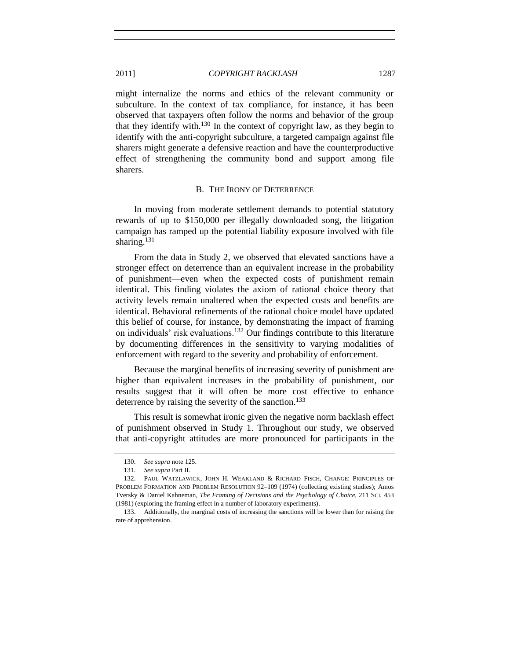might internalize the norms and ethics of the relevant community or subculture. In the context of tax compliance, for instance, it has been observed that taxpayers often follow the norms and behavior of the group that they identify with. $130$  In the context of copyright law, as they begin to identify with the anti-copyright subculture, a targeted campaign against file sharers might generate a defensive reaction and have the counterproductive effect of strengthening the community bond and support among file sharers.

#### B. THE IRONY OF DETERRENCE

<span id="page-36-0"></span>In moving from moderate settlement demands to potential statutory rewards of up to \$150,000 per illegally downloaded song, the litigation campaign has ramped up the potential liability exposure involved with file sharing. $131$ 

From the data in Study 2, we observed that elevated sanctions have a stronger effect on deterrence than an equivalent increase in the probability of punishment—even when the expected costs of punishment remain identical. This finding violates the axiom of rational choice theory that activity levels remain unaltered when the expected costs and benefits are identical. Behavioral refinements of the rational choice model have updated this belief of course, for instance, by demonstrating the impact of framing on individuals' risk evaluations.<sup>132</sup> Our findings contribute to this literature by documenting differences in the sensitivity to varying modalities of enforcement with regard to the severity and probability of enforcement.

Because the marginal benefits of increasing severity of punishment are higher than equivalent increases in the probability of punishment, our results suggest that it will often be more cost effective to enhance deterrence by raising the severity of the sanction.<sup>133</sup>

This result is somewhat ironic given the negative norm backlash effect of punishment observed in Study 1. Throughout our study, we observed that anti-copyright attitudes are more pronounced for participants in the

<sup>130.</sup> *See supra* not[e 125.](#page-35-0)

<sup>131.</sup> *See supra* Part II.

<sup>132.</sup> PAUL WATZLAWICK, JOHN H. WEAKLAND & RICHARD FISCH, CHANGE: PRINCIPLES OF PROBLEM FORMATION AND PROBLEM RESOLUTION 92–109 (1974) (collecting existing studies); Amos Tversky & Daniel Kahneman, *The Framing of Decisions and the Psychology of Choice*, 211 SCI. 453 (1981) (exploring the framing effect in a number of laboratory experiments).

<sup>133.</sup> Additionally, the marginal costs of increasing the sanctions will be lower than for raising the rate of apprehension.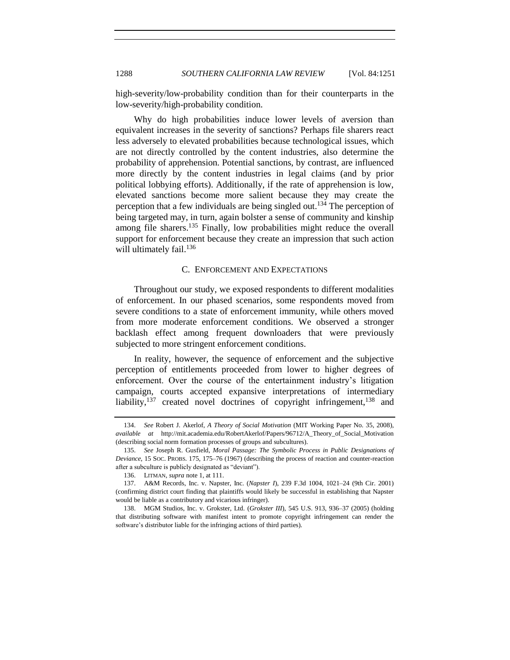high-severity/low-probability condition than for their counterparts in the low-severity/high-probability condition.

Why do high probabilities induce lower levels of aversion than equivalent increases in the severity of sanctions? Perhaps file sharers react less adversely to elevated probabilities because technological issues, which are not directly controlled by the content industries, also determine the probability of apprehension. Potential sanctions, by contrast, are influenced more directly by the content industries in legal claims (and by prior political lobbying efforts). Additionally, if the rate of apprehension is low, elevated sanctions become more salient because they may create the perception that a few individuals are being singled out.<sup>134</sup> The perception of being targeted may, in turn, again bolster a sense of community and kinship among file sharers.<sup>135</sup> Finally, low probabilities might reduce the overall support for enforcement because they create an impression that such action will ultimately fail.<sup>136</sup>

#### C. ENFORCEMENT AND EXPECTATIONS

<span id="page-37-0"></span>Throughout our study, we exposed respondents to different modalities of enforcement. In our phased scenarios, some respondents moved from severe conditions to a state of enforcement immunity, while others moved from more moderate enforcement conditions. We observed a stronger backlash effect among frequent downloaders that were previously subjected to more stringent enforcement conditions.

In reality, however, the sequence of enforcement and the subjective perception of entitlements proceeded from lower to higher degrees of enforcement. Over the course of the entertainment industry's litigation campaign, courts accepted expansive interpretations of intermediary liability,<sup>137</sup> created novel doctrines of copyright infringement,<sup>138</sup> and

<sup>134.</sup> *See* Robert J. Akerlof, *A Theory of Social Motivation* (MIT Working Paper No. 35, 2008), *available at* http://mit.academia.edu/RobertAkerlof/Papers/96712/A\_Theory\_of\_Social\_Motivation (describing social norm formation processes of groups and subcultures).

<sup>135.</sup> *See* Joseph R. Gusfield, *Moral Passage: The Symbolic Process in Public Designations of Deviance*, 15 SOC. PROBS. 175, 175–76 (1967) (describing the process of reaction and counter-reaction after a subculture is publicly designated as "deviant").

<sup>136.</sup> LITMAN, *supra* not[e 1,](#page-2-2) at 111.

<sup>137.</sup> A&M Records, Inc. v. Napster, Inc. (*Napster I*), 239 F.3d 1004, 1021–24 (9th Cir. 2001) (confirming district court finding that plaintiffs would likely be successful in establishing that Napster would be liable as a contributory and vicarious infringer).

<sup>138.</sup> MGM Studios, Inc. v. Grokster, Ltd. (*Grokster III*), 545 U.S. 913, 936–37 (2005) (holding that distributing software with manifest intent to promote copyright infringement can render the software's distributor liable for the infringing actions of third parties).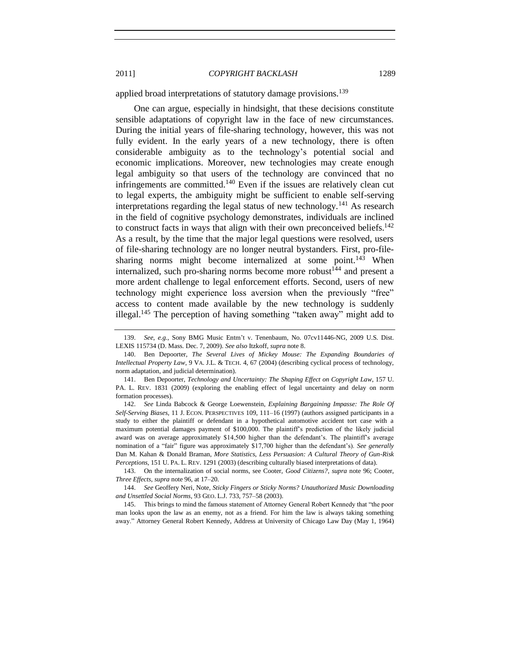applied broad interpretations of statutory damage provisions.<sup>139</sup>

One can argue, especially in hindsight, that these decisions constitute sensible adaptations of copyright law in the face of new circumstances. During the initial years of file-sharing technology, however, this was not fully evident. In the early years of a new technology, there is often considerable ambiguity as to the technology's potential social and economic implications. Moreover, new technologies may create enough legal ambiguity so that users of the technology are convinced that no infringements are committed.<sup>140</sup> Even if the issues are relatively clean cut to legal experts, the ambiguity might be sufficient to enable self-serving interpretations regarding the legal status of new technology.<sup>141</sup> As research in the field of cognitive psychology demonstrates, individuals are inclined to construct facts in ways that align with their own preconceived beliefs.<sup>142</sup> As a result, by the time that the major legal questions were resolved, users of file-sharing technology are no longer neutral bystanders. First, pro-filesharing norms might become internalized at some point.<sup>143</sup> When internalized, such pro-sharing norms become more robust<sup>144</sup> and present a more ardent challenge to legal enforcement efforts. Second, users of new technology might experience loss aversion when the previously "free" access to content made available by the new technology is suddenly illegal.<sup>145</sup> The perception of having something "taken away" might add to

142. *See* Linda Babcock & George Loewenstein, *Explaining Bargaining Impasse: The Role Of Self-Serving Biases*, 11 J. ECON. PERSPECTIVES 109, 111–16 (1997) (authors assigned participants in a study to either the plaintiff or defendant in a hypothetical automotive accident tort case with a maximum potential damages payment of \$100,000. The plaintiff's prediction of the likely judicial award was on average approximately \$14,500 higher than the defendant's. The plaintiff's average nomination of a "fair" figure was approximately \$17,700 higher than the defendant's). *See generally* Dan M. Kahan & Donald Braman, *More Statistics, Less Persuasion: A Cultural Theory of Gun-Risk Perceptions*, 151 U. PA. L. REV. 1291 (2003) (describing culturally biased interpretations of data).

<sup>139.</sup> *See*, *e.g.*, Sony BMG Music Entm't v. Tenenbaum, No. 07cv11446-NG, 2009 U.S. Dist. LEXIS 115734 (D. Mass. Dec. 7, 2009). *See also* Itzkoff, *supra* not[e 8.](#page-3-0)

<sup>140.</sup> Ben Depoorter, *The Several Lives of Mickey Mouse: The Expanding Boundaries of Intellectual Property Law*, 9 VA. J.L. & TECH. 4, 67 (2004) (describing cyclical process of technology, norm adaptation, and judicial determination).

<sup>141.</sup> Ben Depoorter, *Technology and Uncertainty: The Shaping Effect on Copyright Law*, 157 U. PA. L. REV. 1831 (2009) (exploring the enabling effect of legal uncertainty and delay on norm formation processes).

<sup>143.</sup> On the internalization of social norms, see Cooter, *Good Citizens?*, *supra* note [96;](#page-22-1) Cooter, *Three Effects*, *supra* not[e 96,](#page-22-1) at 17–20.

<sup>144.</sup> *See* Geoffery Neri, Note, *Sticky Fingers or Sticky Norms? Unauthorized Music Downloading and Unsettled Social Norms*, 93 GEO. L.J. 733, 757–58 (2003).

<sup>145.</sup> This brings to mind the famous statement of Attorney General Robert Kennedy that "the poor man looks upon the law as an enemy, not as a friend. For him the law is always taking something away.‖ Attorney General Robert Kennedy, Address at University of Chicago Law Day (May 1, 1964)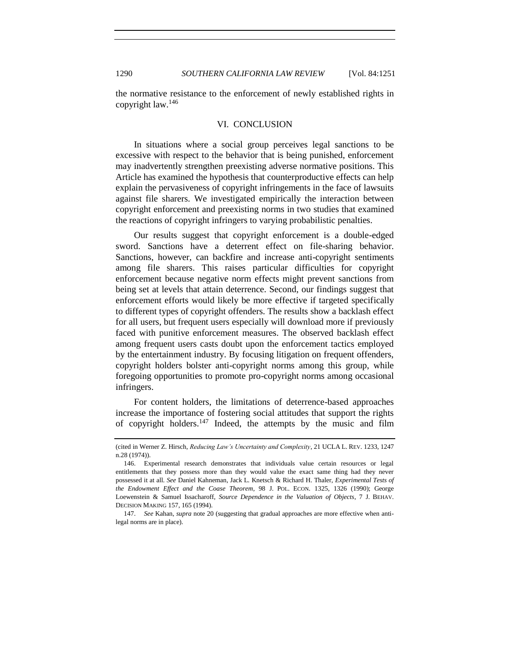<span id="page-39-0"></span>the normative resistance to the enforcement of newly established rights in copyright law.  $146$ 

## VI. CONCLUSION

In situations where a social group perceives legal sanctions to be excessive with respect to the behavior that is being punished, enforcement may inadvertently strengthen preexisting adverse normative positions. This Article has examined the hypothesis that counterproductive effects can help explain the pervasiveness of copyright infringements in the face of lawsuits against file sharers. We investigated empirically the interaction between copyright enforcement and preexisting norms in two studies that examined the reactions of copyright infringers to varying probabilistic penalties.

Our results suggest that copyright enforcement is a double-edged sword. Sanctions have a deterrent effect on file-sharing behavior. Sanctions, however, can backfire and increase anti-copyright sentiments among file sharers. This raises particular difficulties for copyright enforcement because negative norm effects might prevent sanctions from being set at levels that attain deterrence. Second, our findings suggest that enforcement efforts would likely be more effective if targeted specifically to different types of copyright offenders. The results show a backlash effect for all users, but frequent users especially will download more if previously faced with punitive enforcement measures. The observed backlash effect among frequent users casts doubt upon the enforcement tactics employed by the entertainment industry. By focusing litigation on frequent offenders, copyright holders bolster anti-copyright norms among this group, while foregoing opportunities to promote pro-copyright norms among occasional infringers.

For content holders, the limitations of deterrence-based approaches increase the importance of fostering social attitudes that support the rights of copyright holders.<sup>147</sup> Indeed, the attempts by the music and film

<sup>(</sup>cited in Werner Z. Hirsch, *Reducing Law"s Uncertainty and Complexity*, 21 UCLA L. REV. 1233, 1247 n.28 (1974)).

<sup>146.</sup> Experimental research demonstrates that individuals value certain resources or legal entitlements that they possess more than they would value the exact same thing had they never possessed it at all. *See* Daniel Kahneman, Jack L. Knetsch & Richard H. Thaler, *Experimental Tests of the Endowment Effect and the Coase Theorem*, 98 J. POL. ECON. 1325, 1326 (1990); George Loewenstein & Samuel Issacharoff, *Source Dependence in the Valuation of Objects*, 7 J. BEHAV. DECISION MAKING 157, 165 (1994).

<sup>147.</sup> *See* Kahan, *supra* not[e 20](#page-5-1) (suggesting that gradual approaches are more effective when antilegal norms are in place).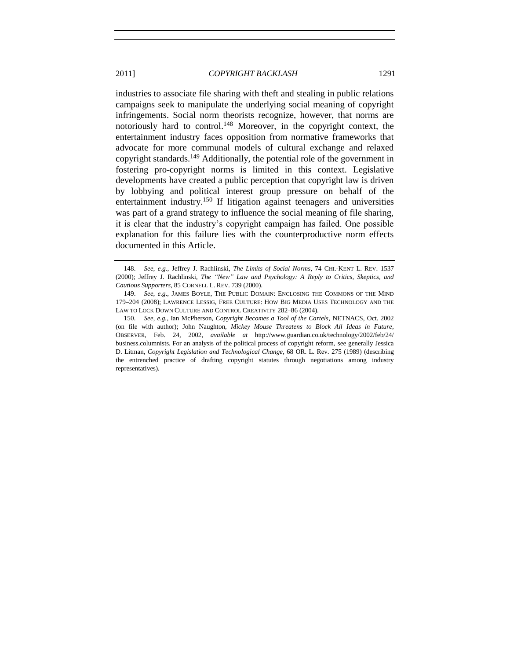industries to associate file sharing with theft and stealing in public relations campaigns seek to manipulate the underlying social meaning of copyright infringements. Social norm theorists recognize, however, that norms are notoriously hard to control.<sup>148</sup> Moreover, in the copyright context, the entertainment industry faces opposition from normative frameworks that advocate for more communal models of cultural exchange and relaxed copyright standards.<sup>149</sup> Additionally, the potential role of the government in fostering pro-copyright norms is limited in this context. Legislative developments have created a public perception that copyright law is driven by lobbying and political interest group pressure on behalf of the entertainment industry.<sup>150</sup> If litigation against teenagers and universities was part of a grand strategy to influence the social meaning of file sharing, it is clear that the industry's copyright campaign has failed. One possible explanation for this failure lies with the counterproductive norm effects documented in this Article.

<sup>148.</sup> *See, e.g.*, Jeffrey J. Rachlinski, *The Limits of Social Norms*, 74 CHI.-KENT L. REV. 1537 (2000); Jeffrey J. Rachlinski, *The "New" Law and Psychology: A Reply to Critics, Skeptics, and Cautious Supporters*, 85 CORNELL L. REV. 739 (2000).

<sup>149.</sup> *See*, *e.g*., JAMES BOYLE, THE PUBLIC DOMAIN: ENCLOSING THE COMMONS OF THE MIND 179–204 (2008); LAWRENCE LESSIG, FREE CULTURE: HOW BIG MEDIA USES TECHNOLOGY AND THE LAW TO LOCK DOWN CULTURE AND CONTROL CREATIVITY 282–86 (2004).

<sup>150.</sup> *See*, *e.g.*, Ian McPherson, *Copyright Becomes a Tool of the Cartels*, NETNACS, Oct. 2002 (on file with author); John Naughton, *Mickey Mouse Threatens to Block All Ideas in Future*, OBSERVER, Feb. 24, 2002, *available at* http://www.guardian.co.uk/technology/2002/feb/24/ business.columnists. For an analysis of the political process of copyright reform, see generally Jessica D. Litman, *Copyright Legislation and Technological Change*, 68 OR. L. Rev. 275 (1989) (describing the entrenched practice of drafting copyright statutes through negotiations among industry representatives).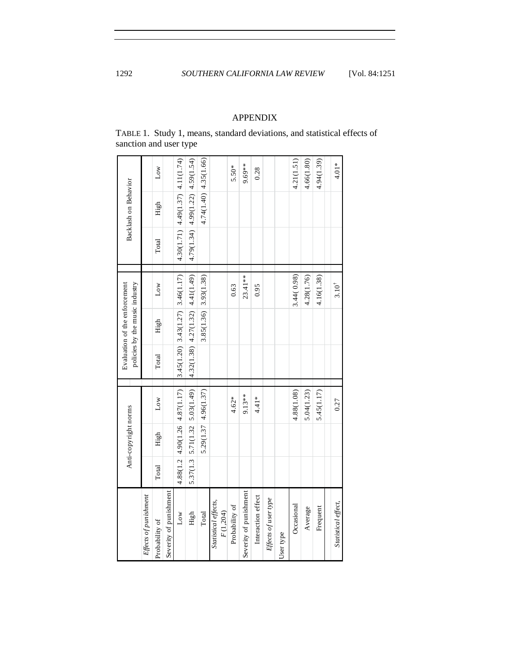## APPENDIX

<span id="page-41-0"></span>TABLE 1. Study 1, means, standard deviations, and statistical effects of sanction and user type

|                                  |       | Anti-copyright norms |                                            |       | Evaluation of the enforcement<br>policies by the music industry |                                          |       | Backlash on Behavior                     |                         |
|----------------------------------|-------|----------------------|--------------------------------------------|-------|-----------------------------------------------------------------|------------------------------------------|-------|------------------------------------------|-------------------------|
| Effects of punishment            |       |                      |                                            |       |                                                                 |                                          |       |                                          |                         |
| Probability of                   | Total | High                 | $_{\text{Low}}$                            | Total | High                                                            | Low                                      | Total | High                                     | Low                     |
| Severity of punishment           |       |                      |                                            |       |                                                                 |                                          |       |                                          |                         |
| Low                              |       |                      | 4.88(1.2   4.90(1.26   4.87(1.17))         |       |                                                                 | $3.45(1.20)$ $3.43(1.27)$ $3.46(1.17)$   |       | $4.30(1.71)$ $4.49(1.37)$ $4.11(1.74)$   |                         |
| High                             |       |                      | $5.37(1.3 \mid 5.71(1.32 \mid 5.03(1.49))$ |       |                                                                 | $4.32(1.38)$ $ 4.27(1.32)$ $ 4.41(1.49)$ |       | $4.79(1.34)$ $ 4.99(1.22)$ $ 4.59(1.54)$ |                         |
| Total                            |       |                      | 5.29(1.37 4.96(1.37)                       |       |                                                                 | $3.85(1.36)$ 3.93(1.38)                  |       |                                          | $4.74(1.40)$ 4.35(1.66) |
| Statistical effects,<br>F(1,204) |       |                      |                                            |       |                                                                 |                                          |       |                                          |                         |
| Probability of                   |       |                      | $4.62*$                                    |       |                                                                 | 0.63                                     |       |                                          | 5.50*                   |
| Severity of punishment           |       |                      | 9.13**                                     |       |                                                                 | $23.41**$                                |       |                                          | $9.69**$                |
| Interaction effect               |       |                      | $4.41*$                                    |       |                                                                 | 0.95                                     |       |                                          | 0.28                    |
| Effects of user type             |       |                      |                                            |       |                                                                 |                                          |       |                                          |                         |
| User type                        |       |                      |                                            |       |                                                                 |                                          |       |                                          |                         |
| Occasional                       |       |                      | 4.88(1.08)                                 |       |                                                                 | 3.44(0.98)                               |       |                                          | 4.21(1.51)              |
| Average                          |       |                      | 5.04(1.23)                                 |       |                                                                 | 4.28(1.76)                               |       |                                          | 4.66(1.80)              |
| Frequent                         |       |                      | 5.45(1.17)                                 |       |                                                                 | 4.16(1.38)                               |       |                                          | 4.94(1.39)              |
| Statistical effect,              |       |                      | 0.27                                       |       |                                                                 | $3.10^{4}$                               |       |                                          | $4.01*$                 |
|                                  |       |                      |                                            |       |                                                                 |                                          |       |                                          |                         |